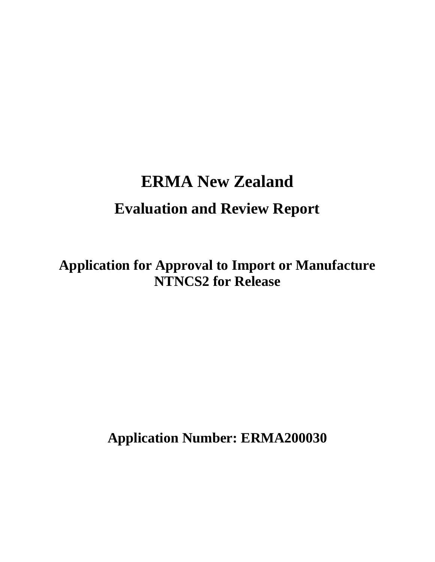# **ERMA New Zealand Evaluation and Review Report**

**Application for Approval to Import or Manufacture NTNCS2 for Release** 

**Application Number: ERMA200030**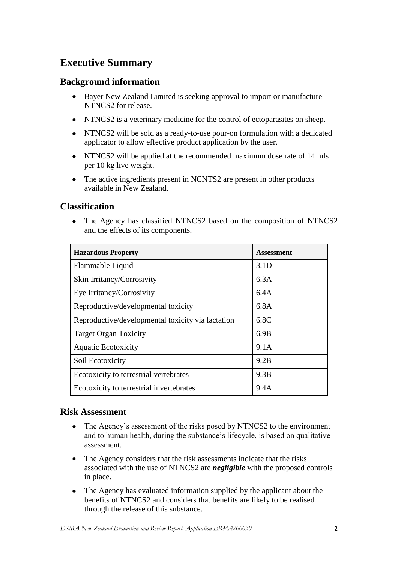# **Executive Summary**

### **Background information**

- Bayer New Zealand Limited is seeking approval to import or manufacture  $\bullet$ NTNCS2 for release.
- NTNCS2 is a veterinary medicine for the control of ectoparasites on sheep.
- NTNCS2 will be sold as a ready-to-use pour-on formulation with a dedicated  $\bullet$ applicator to allow effective product application by the user.
- NTNCS2 will be applied at the recommended maximum dose rate of 14 mls per 10 kg live weight.
- The active ingredients present in NCNTS2 are present in other products available in New Zealand.

### **Classification**

The Agency has classified NTNCS2 based on the composition of NTNCS2  $\bullet$ and the effects of its components.

| <b>Hazardous Property</b>                         | <b>Assessment</b> |
|---------------------------------------------------|-------------------|
| Flammable Liquid                                  | 3.1D              |
| Skin Irritancy/Corrosivity                        | 6.3A              |
| Eye Irritancy/Corrosivity                         | 6.4A              |
| Reproductive/developmental toxicity               | 6.8A              |
| Reproductive/developmental toxicity via lactation | 6.8C              |
| <b>Target Organ Toxicity</b>                      | 6.9B              |
| <b>Aquatic Ecotoxicity</b>                        | 9.1A              |
| Soil Ecotoxicity                                  | 9.2B              |
| Ecotoxicity to terrestrial vertebrates            | 9.3B              |
| Ecotoxicity to terrestrial invertebrates          | 9.4A              |

### **Risk Assessment**

- The Agency's assessment of the risks posed by NTNCS2 to the environment  $\bullet$ and to human health, during the substance"s lifecycle, is based on qualitative assessment.
- The Agency considers that the risk assessments indicate that the risks  $\bullet$ associated with the use of NTNCS2 are *negligible* with the proposed controls in place.
- $\bullet$ The Agency has evaluated information supplied by the applicant about the benefits of NTNCS2 and considers that benefits are likely to be realised through the release of this substance.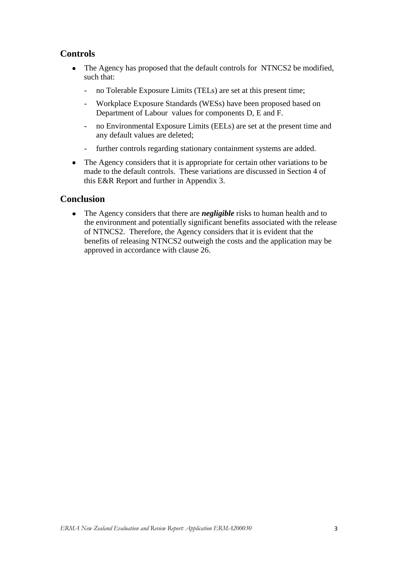### **Controls**

- The Agency has proposed that the default controls for NTNCS2 be modified, such that:
	- no Tolerable Exposure Limits (TELs) are set at this present time;
	- Workplace Exposure Standards (WESs) have been proposed based on Department of Labour values for components D, E and F.
	- no Environmental Exposure Limits (EELs) are set at the present time and any default values are deleted;
	- further controls regarding stationary containment systems are added.
- The Agency considers that it is appropriate for certain other variations to be  $\bullet$ made to the default controls. These variations are discussed in Section 4 of this E&R Report and further in Appendix 3.

### **Conclusion**

The Agency considers that there are *negligible* risks to human health and to  $\bullet$ the environment and potentially significant benefits associated with the release of NTNCS2. Therefore, the Agency considers that it is evident that the benefits of releasing NTNCS2 outweigh the costs and the application may be approved in accordance with clause 26.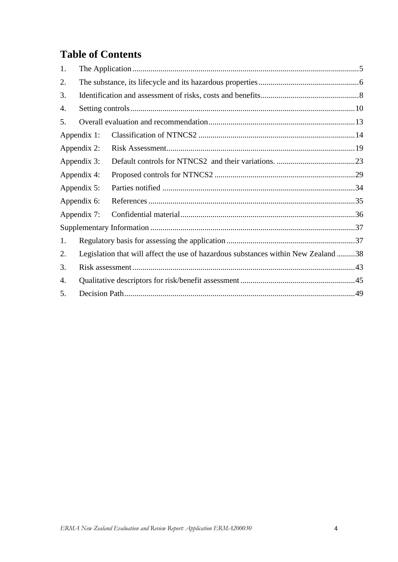# **Table of Contents**

| 1. |             |                                                                                    |  |
|----|-------------|------------------------------------------------------------------------------------|--|
| 2. |             |                                                                                    |  |
| 3. |             |                                                                                    |  |
| 4. |             |                                                                                    |  |
| 5. |             |                                                                                    |  |
|    | Appendix 1: |                                                                                    |  |
|    | Appendix 2: |                                                                                    |  |
|    | Appendix 3: |                                                                                    |  |
|    | Appendix 4: |                                                                                    |  |
|    | Appendix 5: |                                                                                    |  |
|    | Appendix 6: |                                                                                    |  |
|    | Appendix 7: |                                                                                    |  |
|    |             |                                                                                    |  |
| 1. |             |                                                                                    |  |
| 2. |             | Legislation that will affect the use of hazardous substances within New Zealand 38 |  |
| 3. |             |                                                                                    |  |
| 4. |             |                                                                                    |  |
| 5. |             |                                                                                    |  |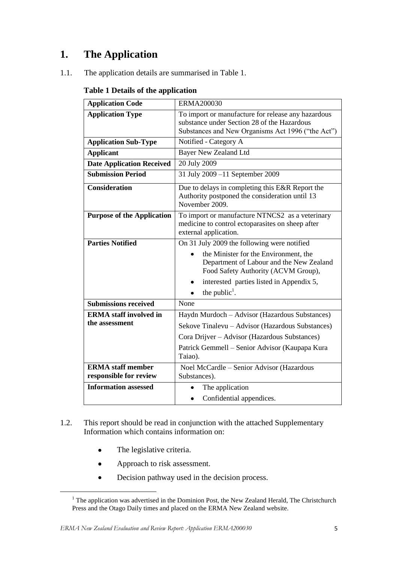# <span id="page-4-0"></span>**1. The Application**

1.1. The application details are summarised in Table 1.

#### **Table 1 Details of the application**

| <b>Application Code</b>                            | <b>ERMA200030</b>                                                                                                                                                                                                                                |
|----------------------------------------------------|--------------------------------------------------------------------------------------------------------------------------------------------------------------------------------------------------------------------------------------------------|
| <b>Application Type</b>                            | To import or manufacture for release any hazardous<br>substance under Section 28 of the Hazardous<br>Substances and New Organisms Act 1996 ("the Act")                                                                                           |
| <b>Application Sub-Type</b>                        | Notified - Category A                                                                                                                                                                                                                            |
| <b>Applicant</b>                                   | <b>Bayer New Zealand Ltd</b>                                                                                                                                                                                                                     |
| <b>Date Application Received</b>                   | 20 July 2009                                                                                                                                                                                                                                     |
| <b>Submission Period</b>                           | 31 July 2009 -11 September 2009                                                                                                                                                                                                                  |
| <b>Consideration</b>                               | Due to delays in completing this E&R Report the<br>Authority postponed the consideration until 13<br>November 2009.                                                                                                                              |
| <b>Purpose of the Application</b>                  | To import or manufacture NTNCS2 as a veterinary<br>medicine to control ectoparasites on sheep after<br>external application.                                                                                                                     |
| <b>Parties Notified</b>                            | On 31 July 2009 the following were notified<br>the Minister for the Environment, the<br>Department of Labour and the New Zealand<br>Food Safety Authority (ACVM Group),<br>interested parties listed in Appendix 5,<br>the public <sup>1</sup> . |
| <b>Submissions received</b>                        | None                                                                                                                                                                                                                                             |
| <b>ERMA</b> staff involved in<br>the assessment    | Haydn Murdoch – Advisor (Hazardous Substances)<br>Sekove Tinalevu – Advisor (Hazardous Substances)<br>Cora Drijver – Advisor (Hazardous Substances)<br>Patrick Gemmell – Senior Advisor (Kaupapa Kura<br>Taiao).                                 |
| <b>ERMA</b> staff member<br>responsible for review | Noel McCardle - Senior Advisor (Hazardous<br>Substances).                                                                                                                                                                                        |
| <b>Information assessed</b>                        | The application<br>Confidential appendices.<br>٠                                                                                                                                                                                                 |

- 1.2. This report should be read in conjunction with the attached Supplementary Information which contains information on:
	- $\bullet$ The legislative criteria.

**.** 

- $\bullet$ Approach to risk assessment.
- $\bullet$ Decision pathway used in the decision process.

<sup>&</sup>lt;sup>1</sup> The application was advertised in the Dominion Post, the New Zealand Herald, The Christchurch Press and the Otago Daily times and placed on the ERMA New Zealand website.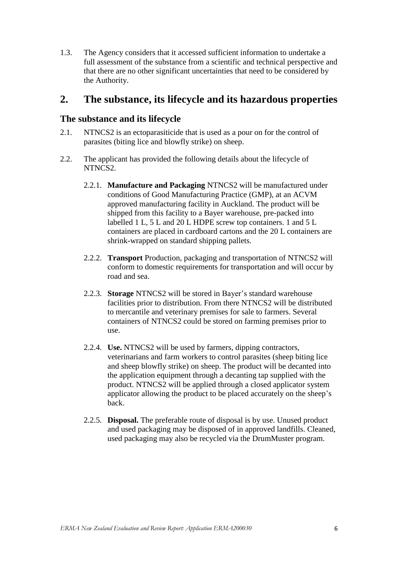1.3. The Agency considers that it accessed sufficient information to undertake a full assessment of the substance from a scientific and technical perspective and that there are no other significant uncertainties that need to be considered by the Authority.

# <span id="page-5-0"></span>**2. The substance, its lifecycle and its hazardous properties**

### **The substance and its lifecycle**

- 2.1. NTNCS2 is an ectoparasiticide that is used as a pour on for the control of parasites (biting lice and blowfly strike) on sheep.
- 2.2. The applicant has provided the following details about the lifecycle of NTNCS2.
	- 2.2.1. **Manufacture and Packaging** NTNCS2 will be manufactured under conditions of Good Manufacturing Practice (GMP), at an ACVM approved manufacturing facility in Auckland. The product will be shipped from this facility to a Bayer warehouse, pre-packed into labelled 1 L, 5 L and 20 L HDPE screw top containers. 1 and 5 L containers are placed in cardboard cartons and the 20 L containers are shrink-wrapped on standard shipping pallets.
	- 2.2.2. **Transport** Production, packaging and transportation of NTNCS2 will conform to domestic requirements for transportation and will occur by road and sea.
	- 2.2.3. **Storage** NTNCS2 will be stored in Bayer"s standard warehouse facilities prior to distribution. From there NTNCS2 will be distributed to mercantile and veterinary premises for sale to farmers. Several containers of NTNCS2 could be stored on farming premises prior to use.
	- 2.2.4. **Use.** NTNCS2 will be used by farmers, dipping contractors, veterinarians and farm workers to control parasites (sheep biting lice and sheep blowfly strike) on sheep. The product will be decanted into the application equipment through a decanting tap supplied with the product. NTNCS2 will be applied through a closed applicator system applicator allowing the product to be placed accurately on the sheep"s back.
	- 2.2.5. **Disposal.** The preferable route of disposal is by use. Unused product and used packaging may be disposed of in approved landfills. Cleaned, used packaging may also be recycled via the DrumMuster program.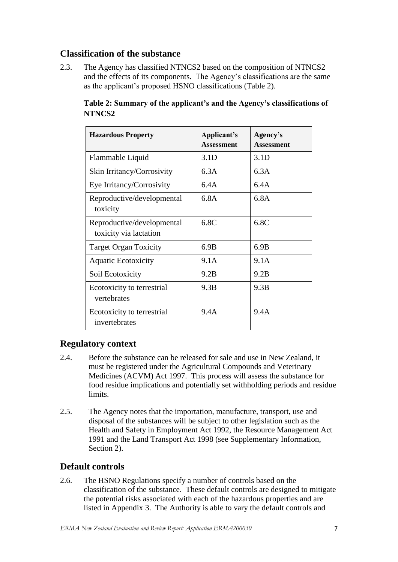### **Classification of the substance**

2.3. The Agency has classified NTNCS2 based on the composition of NTNCS2 and the effects of its components. The Agency"s classifications are the same as the applicant"s proposed HSNO classifications (Table 2).

| <b>Hazardous Property</b>                            | Applicant's<br><b>Assessment</b> | Agency's<br><b>Assessment</b> |
|------------------------------------------------------|----------------------------------|-------------------------------|
| Flammable Liquid                                     | 3.1 <sub>D</sub>                 | 3.1 <sub>D</sub>              |
| Skin Irritancy/Corrosivity                           | 6.3A                             | 6.3A                          |
| Eye Irritancy/Corrosivity                            | 6.4A                             | 6.4A                          |
| Reproductive/developmental<br>toxicity               | 6.8A                             | 6.8A                          |
| Reproductive/developmental<br>toxicity via lactation | 6.8C                             | 6.8C                          |
| <b>Target Organ Toxicity</b>                         | 6.9B                             | 6.9B                          |
| <b>Aquatic Ecotoxicity</b>                           | 9.1A                             | 9.1A                          |
| Soil Ecotoxicity                                     | 9.2B                             | 9.2B                          |
| Ecotoxicity to terrestrial<br>vertebrates            | 9.3B                             | 9.3B                          |
| Ecotoxicity to terrestrial<br>invertebrates          | 9.4A                             | 9.4A                          |

**Table 2: Summary of the applicant's and the Agency's classifications of NTNCS2** 

### **Regulatory context**

- 2.4. Before the substance can be released for sale and use in New Zealand, it must be registered under the Agricultural Compounds and Veterinary Medicines (ACVM) Act 1997. This process will assess the substance for food residue implications and potentially set withholding periods and residue limits.
- 2.5. The Agency notes that the importation, manufacture, transport, use and disposal of the substances will be subject to other legislation such as the Health and Safety in Employment Act 1992, the Resource Management Act 1991 and the Land Transport Act 1998 (see Supplementary Information, Section 2).

### **Default controls**

2.6. The HSNO Regulations specify a number of controls based on the classification of the substance. These default controls are designed to mitigate the potential risks associated with each of the hazardous properties and are listed in Appendix 3. The Authority is able to vary the default controls and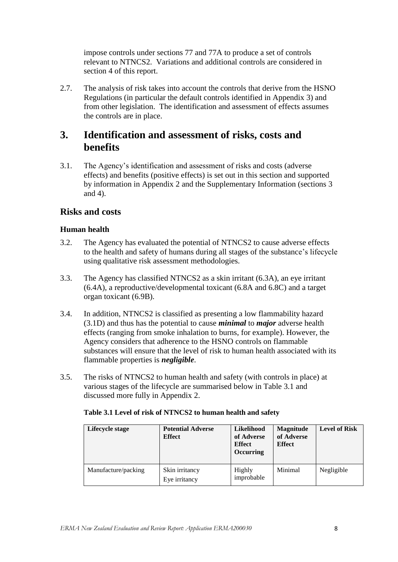impose controls under sections 77 and 77A to produce a set of controls relevant to NTNCS2. Variations and additional controls are considered in section 4 of this report.

2.7. The analysis of risk takes into account the controls that derive from the HSNO Regulations (in particular the default controls identified in Appendix 3) and from other legislation. The identification and assessment of effects assumes the controls are in place.

# <span id="page-7-0"></span>**3. Identification and assessment of risks, costs and benefits**

3.1. The Agency"s identification and assessment of risks and costs (adverse effects) and benefits (positive effects) is set out in this section and supported by information in Appendix 2 and the Supplementary Information (sections 3 and 4).

### **Risks and costs**

#### **Human health**

- 3.2. The Agency has evaluated the potential of NTNCS2 to cause adverse effects to the health and safety of humans during all stages of the substance"s lifecycle using qualitative risk assessment methodologies.
- 3.3. The Agency has classified NTNCS2 as a skin irritant (6.3A), an eye irritant (6.4A), a reproductive/developmental toxicant (6.8A and 6.8C) and a target organ toxicant (6.9B).
- 3.4. In addition, NTNCS2 is classified as presenting a low flammability hazard (3.1D) and thus has the potential to cause *minimal* to *major* adverse health effects (ranging from smoke inhalation to burns, for example). However, the Agency considers that adherence to the HSNO controls on flammable substances will ensure that the level of risk to human health associated with its flammable properties is *negligible*.
- 3.5. The risks of NTNCS2 to human health and safety (with controls in place) at various stages of the lifecycle are summarised below in Table 3.1 and discussed more fully in Appendix 2.

| Lifecycle stage     | <b>Potential Adverse</b><br><b>Effect</b> | Likelihood<br>of Adverse<br><b>Effect</b><br><b>Occurring</b> | <b>Magnitude</b><br>of Adverse<br><b>Effect</b> | <b>Level of Risk</b> |  |
|---------------------|-------------------------------------------|---------------------------------------------------------------|-------------------------------------------------|----------------------|--|
| Manufacture/packing | Skin irritancy<br>Eye irritancy           | Highly<br>improbable                                          | Minimal                                         | Negligible           |  |

#### **Table 3.1 Level of risk of NTNCS2 to human health and safety**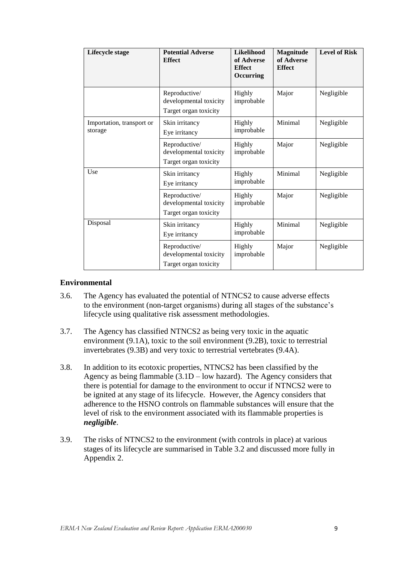| Lifecycle stage                      | <b>Potential Adverse</b><br><b>Effect</b>                        | Likelihood<br>of Adverse<br><b>Effect</b><br>Occurring | Magnitude<br>of Adverse<br><b>Effect</b> | <b>Level of Risk</b> |
|--------------------------------------|------------------------------------------------------------------|--------------------------------------------------------|------------------------------------------|----------------------|
|                                      | Reproductive/<br>developmental toxicity<br>Target organ toxicity | Highly<br>improbable                                   | Major                                    | Negligible           |
| Importation, transport or<br>storage | Skin irritancy<br>Eye irritancy                                  | Highly<br>improbable                                   | Minimal                                  | Negligible           |
|                                      | Reproductive/<br>developmental toxicity<br>Target organ toxicity | Highly<br>improbable                                   | Major                                    | Negligible           |
| Use                                  | Skin irritancy<br>Eye irritancy                                  | Highly<br>improbable                                   | Minimal                                  | Negligible           |
|                                      | Reproductive/<br>developmental toxicity<br>Target organ toxicity | Highly<br>improbable                                   | Major                                    | Negligible           |
| Disposal                             | Skin irritancy<br>Eye irritancy                                  | Highly<br>improbable                                   | Minimal                                  | Negligible           |
|                                      | Reproductive/<br>developmental toxicity<br>Target organ toxicity | Highly<br>improbable                                   | Major                                    | Negligible           |

#### **Environmental**

- 3.6. The Agency has evaluated the potential of NTNCS2 to cause adverse effects to the environment (non-target organisms) during all stages of the substance"s lifecycle using qualitative risk assessment methodologies.
- 3.7. The Agency has classified NTNCS2 as being very toxic in the aquatic environment (9.1A), toxic to the soil environment (9.2B), toxic to terrestrial invertebrates (9.3B) and very toxic to terrestrial vertebrates (9.4A).
- 3.8. In addition to its ecotoxic properties, NTNCS2 has been classified by the Agency as being flammable  $(3.1D - low$  hazard). The Agency considers that there is potential for damage to the environment to occur if NTNCS2 were to be ignited at any stage of its lifecycle. However, the Agency considers that adherence to the HSNO controls on flammable substances will ensure that the level of risk to the environment associated with its flammable properties is *negligible*.
- 3.9. The risks of NTNCS2 to the environment (with controls in place) at various stages of its lifecycle are summarised in Table 3.2 and discussed more fully in Appendix 2.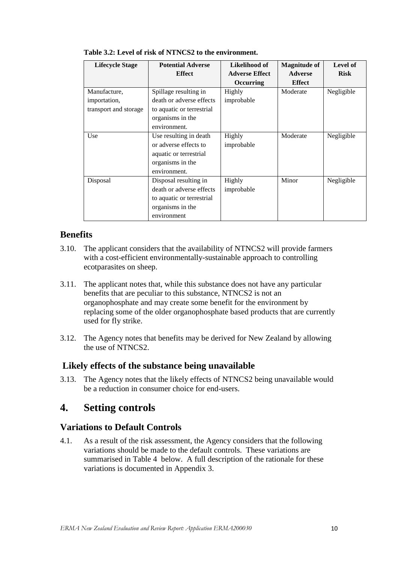| <b>Lifecycle Stage</b> | <b>Potential Adverse</b>  | Likelihood of         | <b>Magnitude of</b> | Level of    |
|------------------------|---------------------------|-----------------------|---------------------|-------------|
|                        | <b>Effect</b>             | <b>Adverse Effect</b> | <b>Adverse</b>      | <b>Risk</b> |
|                        |                           | <b>Occurring</b>      | <b>Effect</b>       |             |
| Manufacture,           | Spillage resulting in     | Highly                | Moderate            | Negligible  |
| importation,           | death or adverse effects  | improbable            |                     |             |
| transport and storage  | to aquatic or terrestrial |                       |                     |             |
|                        | organisms in the          |                       |                     |             |
|                        | environment.              |                       |                     |             |
| Use                    | Use resulting in death    | Highly                | Moderate            | Negligible  |
|                        | or adverse effects to     | improbable            |                     |             |
|                        | aquatic or terrestrial    |                       |                     |             |
|                        | organisms in the          |                       |                     |             |
|                        | environment.              |                       |                     |             |
| Disposal               | Disposal resulting in     | Highly                | Minor               | Negligible  |
|                        | death or adverse effects  | improbable            |                     |             |
|                        | to aquatic or terrestrial |                       |                     |             |
|                        | organisms in the          |                       |                     |             |
|                        | environment               |                       |                     |             |

### **Benefits**

- 3.10. The applicant considers that the availability of NTNCS2 will provide farmers with a cost-efficient environmentally-sustainable approach to controlling ecotparasites on sheep.
- 3.11. The applicant notes that, while this substance does not have any particular benefits that are peculiar to this substance, NTNCS2 is not an organophosphate and may create some benefit for the environment by replacing some of the older organophosphate based products that are currently used for fly strike.
- 3.12. The Agency notes that benefits may be derived for New Zealand by allowing the use of NTNCS2.

### **Likely effects of the substance being unavailable**

3.13. The Agency notes that the likely effects of NTNCS2 being unavailable would be a reduction in consumer choice for end-users.

# <span id="page-9-0"></span>**4. Setting controls**

### **Variations to Default Controls**

4.1. As a result of the risk assessment, the Agency considers that the following variations should be made to the default controls. These variations are summarised in Table 4 below. A full description of the rationale for these variations is documented in Appendix 3.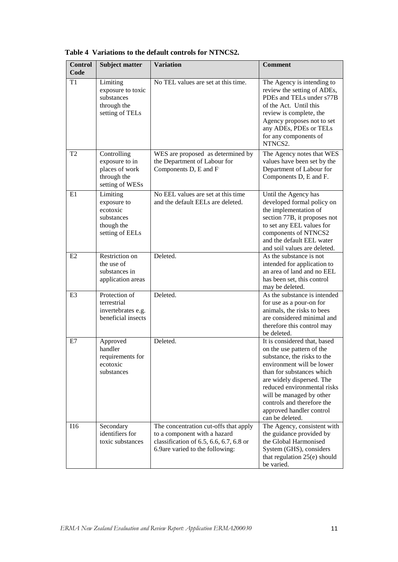| <b>Control</b><br>Code | <b>Subject matter</b>                                                              | <b>Variation</b>                                                                                                                                      | <b>Comment</b>                                                                                                                                                                                                                                                                                                          |
|------------------------|------------------------------------------------------------------------------------|-------------------------------------------------------------------------------------------------------------------------------------------------------|-------------------------------------------------------------------------------------------------------------------------------------------------------------------------------------------------------------------------------------------------------------------------------------------------------------------------|
| T1                     | Limiting<br>exposure to toxic<br>substances<br>through the<br>setting of TELs      | No TEL values are set at this time.                                                                                                                   | The Agency is intending to<br>review the setting of ADEs,<br>PDEs and TELs under s77B<br>of the Act. Until this<br>review is complete, the<br>Agency proposes not to set<br>any ADEs, PDEs or TELs<br>for any components of<br>NTNCS2.                                                                                  |
| T <sub>2</sub>         | Controlling<br>exposure to in<br>places of work<br>through the<br>setting of WESs  | WES are proposed as determined by<br>the Department of Labour for<br>Components D, E and F                                                            | The Agency notes that WES<br>values have been set by the<br>Department of Labour for<br>Components D, E and F.                                                                                                                                                                                                          |
| E1                     | Limiting<br>exposure to<br>ecotoxic<br>substances<br>though the<br>setting of EELs | No EEL values are set at this time<br>and the default EELs are deleted.                                                                               | Until the Agency has<br>developed formal policy on<br>the implementation of<br>section 77B, it proposes not<br>to set any EEL values for<br>components of NTNCS2<br>and the default EEL water<br>and soil values are deleted.                                                                                           |
| E2                     | Restriction on<br>the use of<br>substances in<br>application areas                 | Deleted.                                                                                                                                              | As the substance is not<br>intended for application to<br>an area of land and no EEL<br>has been set, this control<br>may be deleted.                                                                                                                                                                                   |
| E <sub>3</sub>         | Protection of<br>terrestrial<br>invertebrates e.g.<br>beneficial insects           | Deleted.                                                                                                                                              | As the substance is intended<br>for use as a pour-on for<br>animals, the risks to bees<br>are considered minimal and<br>therefore this control may<br>be deleted.                                                                                                                                                       |
| E7                     | Approved<br>handler<br>requirements for<br>ecotoxic<br>substances                  | Deleted.                                                                                                                                              | It is considered that, based<br>on the use pattern of the<br>substance, the risks to the<br>environment will be lower<br>than for substances which<br>are widely dispersed. The<br>reduced environmental risks<br>will be managed by other<br>controls and therefore the<br>approved handler control<br>can be deleted. |
| I16                    | Secondary<br>identifiers for<br>toxic substances                                   | The concentration cut-offs that apply<br>to a component with a hazard<br>classification of $6.5, 6.6, 6.7, 6.8$ or<br>6.9are varied to the following: | The Agency, consistent with<br>the guidance provided by<br>the Global Harmonised<br>System (GHS), considers<br>that regulation 25(e) should<br>be varied.                                                                                                                                                               |

**Table 4 Variations to the default controls for NTNCS2.**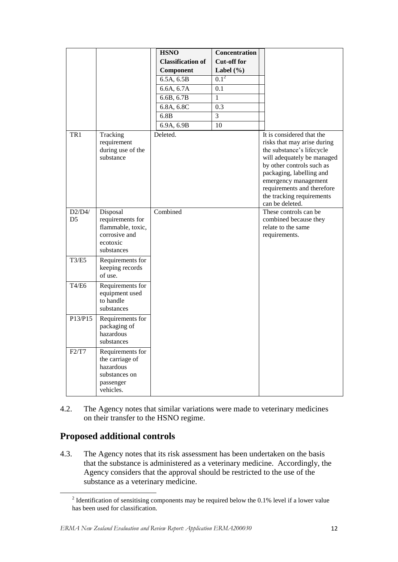|                |                                                           | <b>HSNO</b>              | <b>Concentration</b> |                                                                                                                                                                                                                                                                                    |
|----------------|-----------------------------------------------------------|--------------------------|----------------------|------------------------------------------------------------------------------------------------------------------------------------------------------------------------------------------------------------------------------------------------------------------------------------|
|                |                                                           | <b>Classification of</b> | <b>Cut-off for</b>   |                                                                                                                                                                                                                                                                                    |
|                |                                                           | Component                | Label $(\% )$        |                                                                                                                                                                                                                                                                                    |
|                |                                                           | 6.5A, 6.5B               | $0.1^2$              |                                                                                                                                                                                                                                                                                    |
|                |                                                           | 6.6A, 6.7A               | 0.1                  |                                                                                                                                                                                                                                                                                    |
|                |                                                           | 6.6B, 6.7B               | 1                    |                                                                                                                                                                                                                                                                                    |
|                |                                                           | 6.8A, 6.8C               | 0.3                  |                                                                                                                                                                                                                                                                                    |
|                |                                                           | 6.8B                     | 3                    |                                                                                                                                                                                                                                                                                    |
|                |                                                           | 6.9A, 6.9B               | 10                   |                                                                                                                                                                                                                                                                                    |
| TR1            | Tracking<br>requirement<br>during use of the<br>substance | Deleted.                 |                      | It is considered that the<br>risks that may arise during<br>the substance's lifecycle<br>will adequately be managed<br>by other controls such as<br>packaging, labelling and<br>emergency management<br>requirements and therefore<br>the tracking requirements<br>can be deleted. |
| D2/D4/         | Disposal                                                  | Combined                 |                      | These controls can be                                                                                                                                                                                                                                                              |
| D <sub>5</sub> | requirements for<br>flammable, toxic,                     |                          |                      | combined because they<br>relate to the same                                                                                                                                                                                                                                        |
|                | corrosive and                                             |                          |                      | requirements.                                                                                                                                                                                                                                                                      |
|                | ecotoxic                                                  |                          |                      |                                                                                                                                                                                                                                                                                    |
|                | substances                                                |                          |                      |                                                                                                                                                                                                                                                                                    |
| <b>T3/E5</b>   | Requirements for<br>keeping records<br>of use.            |                          |                      |                                                                                                                                                                                                                                                                                    |
| <b>T4/E6</b>   | Requirements for                                          |                          |                      |                                                                                                                                                                                                                                                                                    |
|                | equipment used                                            |                          |                      |                                                                                                                                                                                                                                                                                    |
|                | to handle<br>substances                                   |                          |                      |                                                                                                                                                                                                                                                                                    |
| P13/P15        |                                                           |                          |                      |                                                                                                                                                                                                                                                                                    |
|                | Requirements for<br>packaging of                          |                          |                      |                                                                                                                                                                                                                                                                                    |
|                | hazardous                                                 |                          |                      |                                                                                                                                                                                                                                                                                    |
|                | substances                                                |                          |                      |                                                                                                                                                                                                                                                                                    |
| F2/T7          | Requirements for                                          |                          |                      |                                                                                                                                                                                                                                                                                    |
|                | the carriage of                                           |                          |                      |                                                                                                                                                                                                                                                                                    |
|                | hazardous<br>substances on                                |                          |                      |                                                                                                                                                                                                                                                                                    |
|                | passenger                                                 |                          |                      |                                                                                                                                                                                                                                                                                    |
|                | vehicles.                                                 |                          |                      |                                                                                                                                                                                                                                                                                    |

4.2. The Agency notes that similar variations were made to veterinary medicines on their transfer to the HSNO regime.

# **Proposed additional controls**

**.** 

4.3. The Agency notes that its risk assessment has been undertaken on the basis that the substance is administered as a veterinary medicine. Accordingly, the Agency considers that the approval should be restricted to the use of the substance as a veterinary medicine.

<sup>&</sup>lt;sup>2</sup> Identification of sensitising components may be required below the 0.1% level if a lower value has been used for classification.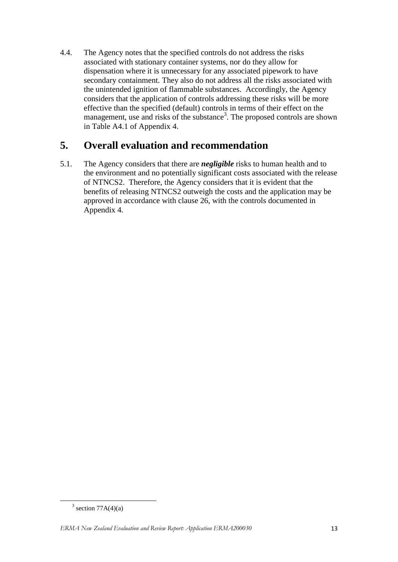4.4. The Agency notes that the specified controls do not address the risks associated with stationary container systems, nor do they allow for dispensation where it is unnecessary for any associated pipework to have secondary containment. They also do not address all the risks associated with the unintended ignition of flammable substances. Accordingly, the Agency considers that the application of controls addressing these risks will be more effective than the specified (default) controls in terms of their effect on the management, use and risks of the substance<sup>3</sup>. The proposed controls are shown in Table A4.1 of Appendix 4.

# <span id="page-12-0"></span>**5. Overall evaluation and recommendation**

5.1. The Agency considers that there are *negligible* risks to human health and to the environment and no potentially significant costs associated with the release of NTNCS2. Therefore, the Agency considers that it is evident that the benefits of releasing NTNCS2 outweigh the costs and the application may be approved in accordance with clause 26, with the controls documented in Appendix 4.

**.** 

 $3$  section 77A(4)(a)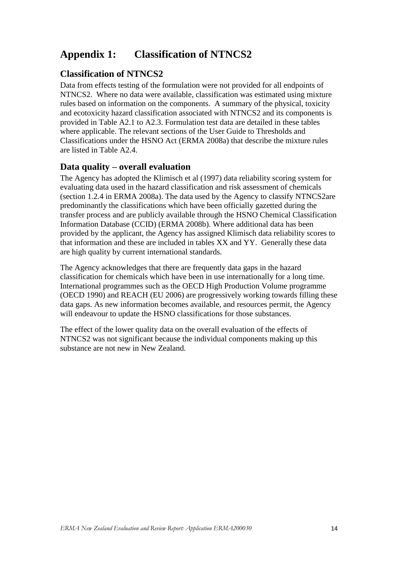# <span id="page-13-0"></span>**Appendix 1: Classification of NTNCS2**

### **Classification of NTNCS2**

Data from effects testing of the formulation were not provided for all endpoints of NTNCS2. Where no data were available, classification was estimated using mixture rules based on information on the components. A summary of the physical, toxicity and ecotoxicity hazard classification associated with NTNCS2 and its components is provided in Table A2.1 to A2.3. Formulation test data are detailed in these tables where applicable. The relevant sections of the User Guide to Thresholds and Classifications under the HSNO Act (ERMA 2008a) that describe the mixture rules are listed in Table A2.4.

### **Data quality – overall evaluation**

The Agency has adopted the Klimisch et al (1997) data reliability scoring system for evaluating data used in the hazard classification and risk assessment of chemicals (section 1.2.4 in ERMA 2008a). The data used by the Agency to classify NTNCS2are predominantly the classifications which have been officially gazetted during the transfer process and are publicly available through the HSNO Chemical Classification Information Database (CCID) (ERMA 2008b). Where additional data has been provided by the applicant, the Agency has assigned Klimisch data reliability scores to that information and these are included in tables XX and YY. Generally these data are high quality by current international standards.

The Agency acknowledges that there are frequently data gaps in the hazard classification for chemicals which have been in use internationally for a long time. International programmes such as the OECD High Production Volume programme (OECD 1990) and REACH (EU 2006) are progressively working towards filling these data gaps. As new information becomes available, and resources permit, the Agency will endeavour to update the HSNO classifications for those substances.

The effect of the lower quality data on the overall evaluation of the effects of NTNCS2 was not significant because the individual components making up this substance are not new in New Zealand.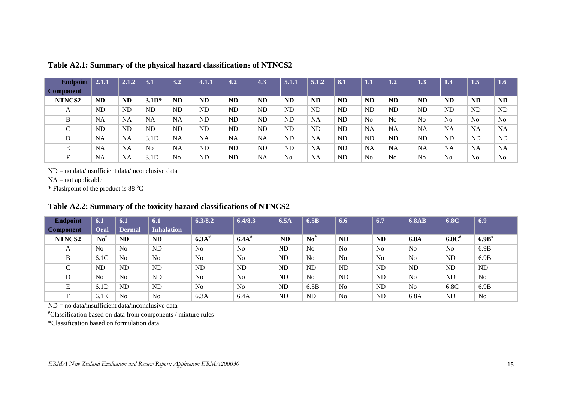| <b>Endpoint</b>  | 2.1.1     | 2.1.2     | 3.1              | 3.2            | 4.1.1     | 4.2       | 4.3       | 5.1.1          | 5.1.2     | 8.1       | ${\bf 1.1}$    | 1.2       | 1.3            | 1.4            | 1.5            | $\overline{1.6}$ |
|------------------|-----------|-----------|------------------|----------------|-----------|-----------|-----------|----------------|-----------|-----------|----------------|-----------|----------------|----------------|----------------|------------------|
| <b>Component</b> |           |           |                  |                |           |           |           |                |           |           |                |           |                |                |                |                  |
| NTNCS2           | <b>ND</b> | <b>ND</b> | $3.1D*$          | <b>ND</b>      | <b>ND</b> | <b>ND</b> | <b>ND</b> | <b>ND</b>      | <b>ND</b> | <b>ND</b> | ND             | <b>ND</b> | <b>ND</b>      | <b>ND</b>      | <b>ND</b>      | <b>ND</b>        |
| A                | <b>ND</b> | <b>ND</b> | <b>ND</b>        | <b>ND</b>      | <b>ND</b> | <b>ND</b> | ND        | <b>ND</b>      | <b>ND</b> | <b>ND</b> | <b>ND</b>      | <b>ND</b> | <b>ND</b>      | <b>ND</b>      | <b>ND</b>      | <b>ND</b>        |
| B                | <b>NA</b> | <b>NA</b> | <b>NA</b>        | <b>NA</b>      | <b>ND</b> | <b>ND</b> | ND        | <b>ND</b>      | NA        | <b>ND</b> | N <sub>o</sub> | No        | N <sub>o</sub> | N <sub>o</sub> | N <sub>0</sub> | N <sub>0</sub>   |
| $\sqrt{ }$<br>◡  | <b>ND</b> | <b>ND</b> | <b>ND</b>        | <b>ND</b>      | <b>ND</b> | <b>ND</b> | ND.       | <b>ND</b>      | <b>ND</b> | <b>ND</b> | <b>NA</b>      | <b>NA</b> | <b>NA</b>      | <b>NA</b>      | <b>NA</b>      | <b>NA</b>        |
| D                | NA        | NA        | 3.1D             | <b>NA</b>      | <b>NA</b> | <b>NA</b> | <b>NA</b> | <b>ND</b>      | NA        | <b>ND</b> | <b>ND</b>      | <b>ND</b> | <b>ND</b>      | <b>ND</b>      | <b>ND</b>      | <b>ND</b>        |
| E                | NA        | <b>NA</b> | N <sub>0</sub>   | <b>NA</b>      | <b>ND</b> | <b>ND</b> | ND        | <b>ND</b>      | NA        | <b>ND</b> | <b>NA</b>      | <b>NA</b> | <b>NA</b>      | <b>NA</b>      | <b>NA</b>      | <b>NA</b>        |
| F.               | <b>NA</b> | <b>NA</b> | 3.1 <sub>D</sub> | N <sub>o</sub> | <b>ND</b> | <b>ND</b> | <b>NA</b> | N <sub>0</sub> | <b>NA</b> | <b>ND</b> | N <sub>0</sub> | No        | N <sub>o</sub> | N <sub>o</sub> | No             | No               |

#### **Table A2.1: Summary of the physical hazard classifications of NTNCS2**

ND = no data/insufficient data/inconclusive data

 $NA = not applicable$ 

 $*$  Flashpoint of the product is 88  $^{\circ}$ C

#### **Table A2.2: Summary of the toxicity hazard classifications of NTNCS2**

| <b>Endpoint</b>  | 6.1                      | 6.1            | 6.1               | 6.3/8.2             | 6.4/8.3             | 6.5A      | 6.5B           | 6.6            | 6.7            | <b>6.8AB</b>   | 6.8C      | 6.9                 |
|------------------|--------------------------|----------------|-------------------|---------------------|---------------------|-----------|----------------|----------------|----------------|----------------|-----------|---------------------|
| <b>Component</b> | Oral                     | <b>Dermal</b>  | <b>Inhalation</b> |                     |                     |           |                |                |                |                |           |                     |
| NTNCS2           | $\mathbf{N}\mathbf{o}^*$ | <b>ND</b>      | <b>ND</b>         | $6.3A$ <sup>#</sup> | $6.4A$ <sup>#</sup> | <b>ND</b> | $No^{\dagger}$ | <b>ND</b>      | <b>ND</b>      | 6.8A           | $6.8C$ #  | $6.9B$ <sup>#</sup> |
| A                | N <sub>o</sub>           | No             | ND                | N <sub>o</sub>      | No                  | ND        | No             | N <sub>0</sub> | No             | N <sub>o</sub> | No        | 6.9B                |
| B                | 6.1C                     | No             | N <sub>o</sub>    | N <sub>o</sub>      | N <sub>o</sub>      | <b>ND</b> | No             | N <sub>o</sub> | N <sub>o</sub> | N <sub>o</sub> | <b>ND</b> | 6.9B                |
| $\cap$<br>◡      | <b>ND</b>                | <b>ND</b>      | ND                | <b>ND</b>           | <b>ND</b>           | <b>ND</b> | ND             | ND             | <b>ND</b>      | <b>ND</b>      | <b>ND</b> | ND                  |
| D                | N <sub>o</sub>           | N <sub>o</sub> | <b>ND</b>         | N <sub>o</sub>      | N <sub>o</sub>      | ND        | N <sub>0</sub> | ND             | <b>ND</b>      | N <sub>o</sub> | <b>ND</b> | N <sub>o</sub>      |
| E                | 6.1D                     | <b>ND</b>      | ND                | N <sub>o</sub>      | No                  | <b>ND</b> | 6.5B           | N <sub>0</sub> | <b>ND</b>      | No             | 6.8C      | 6.9B                |
| F.               | 6.1E                     | N <sub>o</sub> | N <sub>o</sub>    | 6.3A                | 6.4A                | <b>ND</b> | <b>ND</b>      | N <sub>0</sub> | <b>ND</b>      | 6.8A           | ND        | N <sub>0</sub>      |

 $ND = no data/insufficient data/inconclusive data$ 

#Classification based on data from components / mixture rules

\*Classification based on formulation data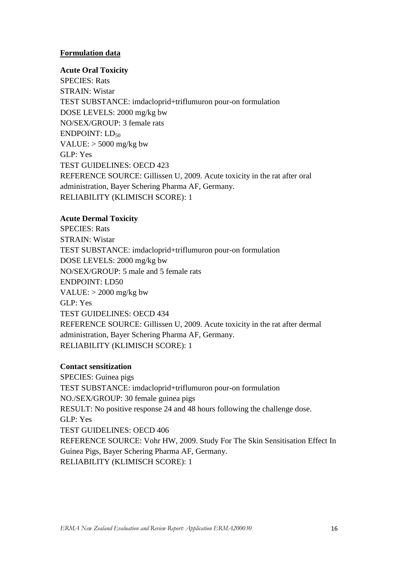#### **Formulation data**

#### **Acute Oral Toxicity**

SPECIES: Rats STRAIN: Wistar TEST SUBSTANCE: imdacloprid+triflumuron pour-on formulation DOSE LEVELS: 2000 mg/kg bw NO/SEX/GROUP: 3 female rats  $ENDPOINT: LD<sub>50</sub>$ VALUE: > 5000 mg/kg bw GLP: Yes TEST GUIDELINES: OECD 423 REFERENCE SOURCE: Gillissen U, 2009. Acute toxicity in the rat after oral administration, Bayer Schering Pharma AF, Germany. RELIABILITY (KLIMISCH SCORE): 1

#### **Acute Dermal Toxicity**

SPECIES: Rats STRAIN: Wistar TEST SUBSTANCE: imdacloprid+triflumuron pour-on formulation DOSE LEVELS: 2000 mg/kg bw NO/SEX/GROUP: 5 male and 5 female rats ENDPOINT: LD50 VALUE:  $>$  2000 mg/kg bw GLP: Yes TEST GUIDELINES: OECD 434 REFERENCE SOURCE: Gillissen U, 2009. Acute toxicity in the rat after dermal administration, Bayer Schering Pharma AF, Germany. RELIABILITY (KLIMISCH SCORE): 1

#### **Contact sensitization**

SPECIES: Guinea pigs TEST SUBSTANCE: imdacloprid+triflumuron pour-on formulation NO./SEX/GROUP: 30 female guinea pigs RESULT: No positive response 24 and 48 hours following the challenge dose. GLP: Yes TEST GUIDELINES: OECD 406 REFERENCE SOURCE: Vohr HW, 2009. Study For The Skin Sensitisation Effect In Guinea Pigs, Bayer Schering Pharma AF, Germany. RELIABILITY (KLIMISCH SCORE): 1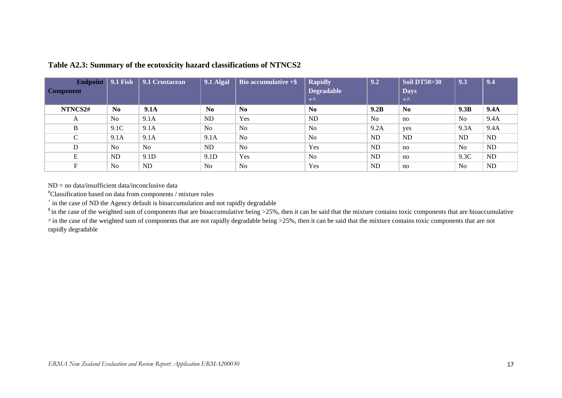| Endpoint   9.1 Fish<br><b>Component</b> |                | 9.1 Crustacean | <b>9.1 Algal</b> | Bio accumulative $+$ \$. | <b>Rapidly</b><br><b>Degradable</b><br>$+^{\Lambda}$ | 9.2       | <b>Soil DT50&gt;30</b><br><b>Days</b><br>$+^{\Lambda}$ | 9.3            | 9.4         |
|-----------------------------------------|----------------|----------------|------------------|--------------------------|------------------------------------------------------|-----------|--------------------------------------------------------|----------------|-------------|
| NTNCS2#                                 | No.            | <b>9.1A</b>    | N <sub>0</sub>   | N <sub>0</sub>           | $\bf No$                                             | 9.2B      | $\bf No$                                               | 9.3B           | <b>9.4A</b> |
| A                                       | N <sub>0</sub> | 9.1A           | ND               | Yes                      | ND                                                   | No        | no                                                     | N <sub>o</sub> | 9.4A        |
| B                                       | 9.1C           | 9.1A           | No               | No                       | N <sub>o</sub>                                       | 9.2A      | yes                                                    | 9.3A           | 9.4A        |
| $\sim$<br>◡                             | 9.1A           | 9.1A           | 9.1A             | N <sub>0</sub>           | N <sub>o</sub>                                       | ND        | ND                                                     | ND.            | <b>ND</b>   |
| D                                       | N <sub>0</sub> | N <sub>0</sub> | ND               | No                       | Yes                                                  | ND        | no                                                     | N <sub>o</sub> | <b>ND</b>   |
| E                                       | ND             | 9.1D           | 9.1D             | Yes                      | N <sub>o</sub>                                       | ND        | no                                                     | 9.3C           | <b>ND</b>   |
| Е                                       | N <sub>o</sub> | ND             | No               | No                       | Yes                                                  | <b>ND</b> | no                                                     | N <sub>o</sub> | <b>ND</b>   |

#### **Table A2.3: Summary of the ecotoxicity hazard classifications of NTNCS2**

 $ND = no data/insufficient data/inconclusive data$ 

#Classification based on data from components / mixture rules

<sup>+</sup> in the case of ND the Agency default is bioaccumulation and not rapidly degradable

 $\sin$  the case of the weighted sum of components that are bioaccumulative being >25%, then it can be said that the mixture contains toxic components that are bioaccumulative

^ in the case of the weighted sum of components that are not rapidly degradable being >25%, then it can be said that the mixture contains toxic components that are not rapidly degradable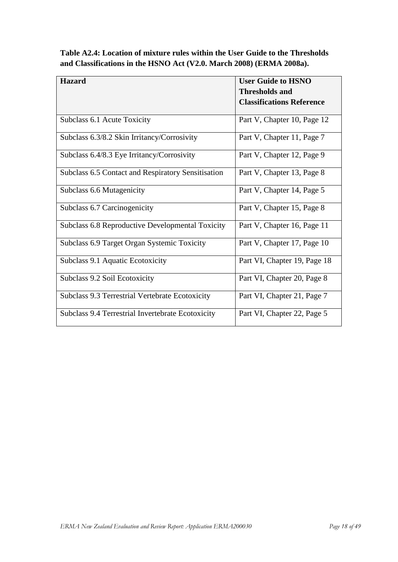**Table A2.4: Location of mixture rules within the User Guide to the Thresholds and Classifications in the HSNO Act (V2.0. March 2008) (ERMA 2008a).**

| <b>Hazard</b>                                             | <b>User Guide to HSNO</b>        |
|-----------------------------------------------------------|----------------------------------|
|                                                           | <b>Thresholds and</b>            |
|                                                           | <b>Classifications Reference</b> |
|                                                           |                                  |
| Subclass 6.1 Acute Toxicity                               | Part V, Chapter 10, Page 12      |
| Subclass 6.3/8.2 Skin Irritancy/Corrosivity               | Part V, Chapter 11, Page 7       |
| Subclass 6.4/8.3 Eye Irritancy/Corrosivity                | Part V, Chapter 12, Page 9       |
| <b>Subclass 6.5 Contact and Respiratory Sensitisation</b> | Part V, Chapter 13, Page 8       |
| Subclass 6.6 Mutagenicity                                 | Part V, Chapter 14, Page 5       |
| Subclass 6.7 Carcinogenicity                              | Part V, Chapter 15, Page 8       |
| Subclass 6.8 Reproductive Developmental Toxicity          | Part V, Chapter 16, Page 11      |
| Subclass 6.9 Target Organ Systemic Toxicity               | Part V, Chapter 17, Page 10      |
| Subclass 9.1 Aquatic Ecotoxicity                          | Part VI, Chapter 19, Page 18     |
| Subclass 9.2 Soil Ecotoxicity                             | Part VI, Chapter 20, Page 8      |
| Subclass 9.3 Terrestrial Vertebrate Ecotoxicity           | Part VI, Chapter 21, Page 7      |
| Subclass 9.4 Terrestrial Invertebrate Ecotoxicity         | Part VI, Chapter 22, Page 5      |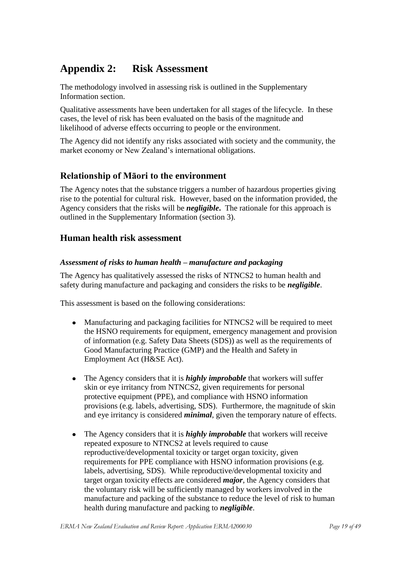# <span id="page-18-0"></span>**Appendix 2: Risk Assessment**

The methodology involved in assessing risk is outlined in the Supplementary Information section.

Qualitative assessments have been undertaken for all stages of the lifecycle. In these cases, the level of risk has been evaluated on the basis of the magnitude and likelihood of adverse effects occurring to people or the environment.

The Agency did not identify any risks associated with society and the community, the market economy or New Zealand"s international obligations.

### **Relationship of Māori to the environment**

The Agency notes that the substance triggers a number of hazardous properties giving rise to the potential for cultural risk. However, based on the information provided, the Agency considers that the risks will be *negligible***.** The rationale for this approach is outlined in the Supplementary Information (section 3).

### **Human health risk assessment**

#### *Assessment of risks to human health – manufacture and packaging*

The Agency has qualitatively assessed the risks of NTNCS2 to human health and safety during manufacture and packaging and considers the risks to be *negligible*.

This assessment is based on the following considerations:

- Manufacturing and packaging facilities for NTNCS2 will be required to meet  $\bullet$ the HSNO requirements for equipment, emergency management and provision of information (e.g. Safety Data Sheets (SDS)) as well as the requirements of Good Manufacturing Practice (GMP) and the Health and Safety in Employment Act (H&SE Act).
- The Agency considers that it is *highly improbable* that workers will suffer  $\bullet$ skin or eye irritancy from NTNCS2, given requirements for personal protective equipment (PPE), and compliance with HSNO information provisions (e.g. labels, advertising, SDS). Furthermore, the magnitude of skin and eye irritancy is considered *minimal*, given the temporary nature of effects.
- The Agency considers that it is *highly improbable* that workers will receive  $\bullet$ repeated exposure to NTNCS2 at levels required to cause reproductive/developmental toxicity or target organ toxicity, given requirements for PPE compliance with HSNO information provisions (e.g. labels, advertising, SDS). While reproductive/developmental toxicity and target organ toxicity effects are considered *major*, the Agency considers that the voluntary risk will be sufficiently managed by workers involved in the manufacture and packing of the substance to reduce the level of risk to human health during manufacture and packing to *negligible*.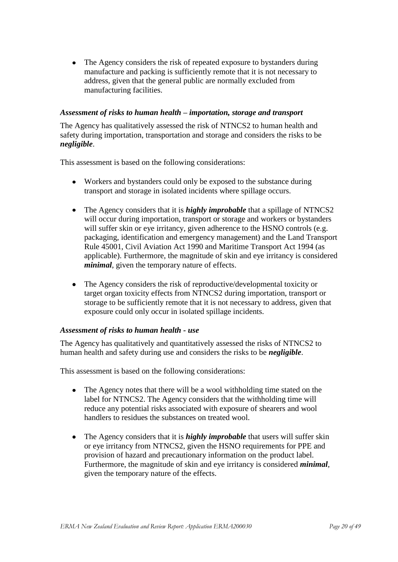The Agency considers the risk of repeated exposure to bystanders during  $\bullet$ manufacture and packing is sufficiently remote that it is not necessary to address, given that the general public are normally excluded from manufacturing facilities.

#### *Assessment of risks to human health – importation, storage and transport*

The Agency has qualitatively assessed the risk of NTNCS2 to human health and safety during importation, transportation and storage and considers the risks to be *negligible*.

This assessment is based on the following considerations:

- Workers and bystanders could only be exposed to the substance during transport and storage in isolated incidents where spillage occurs.
- The Agency considers that it is *highly improbable* that a spillage of NTNCS2  $\bullet$ will occur during importation, transport or storage and workers or bystanders will suffer skin or eye irritancy, given adherence to the HSNO controls (e.g. packaging, identification and emergency management) and the Land Transport Rule 45001, Civil Aviation Act 1990 and Maritime Transport Act 1994 (as applicable). Furthermore, the magnitude of skin and eye irritancy is considered *minimal*, given the temporary nature of effects.
- The Agency considers the risk of reproductive/developmental toxicity or  $\bullet$ target organ toxicity effects from NTNCS2 during importation, transport or storage to be sufficiently remote that it is not necessary to address, given that exposure could only occur in isolated spillage incidents.

#### *Assessment of risks to human health - use*

The Agency has qualitatively and quantitatively assessed the risks of NTNCS2 to human health and safety during use and considers the risks to be *negligible*.

This assessment is based on the following considerations:

- The Agency notes that there will be a wool withholding time stated on the  $\bullet$ label for NTNCS2. The Agency considers that the withholding time will reduce any potential risks associated with exposure of shearers and wool handlers to residues the substances on treated wool.
- The Agency considers that it is *highly improbable* that users will suffer skin or eye irritancy from NTNCS2, given the HSNO requirements for PPE and provision of hazard and precautionary information on the product label. Furthermore, the magnitude of skin and eye irritancy is considered *minimal*, given the temporary nature of the effects.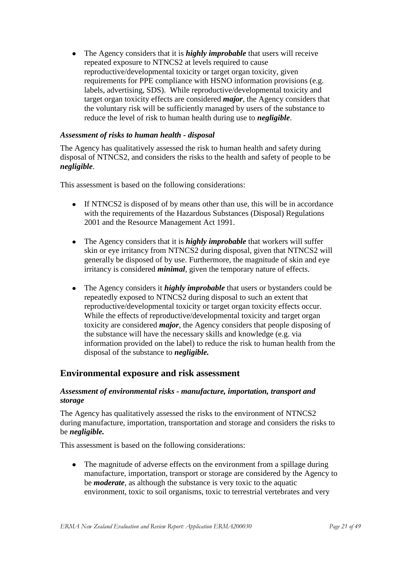The Agency considers that it is *highly improbable* that users will receive  $\bullet$ repeated exposure to NTNCS2 at levels required to cause reproductive/developmental toxicity or target organ toxicity, given requirements for PPE compliance with HSNO information provisions (e.g. labels, advertising, SDS). While reproductive/developmental toxicity and target organ toxicity effects are considered *major*, the Agency considers that the voluntary risk will be sufficiently managed by users of the substance to reduce the level of risk to human health during use to *negligible*.

#### *Assessment of risks to human health - disposal*

The Agency has qualitatively assessed the risk to human health and safety during disposal of NTNCS2, and considers the risks to the health and safety of people to be *negligible*.

This assessment is based on the following considerations:

- If NTNCS2 is disposed of by means other than use, this will be in accordance with the requirements of the Hazardous Substances (Disposal) Regulations 2001 and the Resource Management Act 1991.
- The Agency considers that it is *highly improbable* that workers will suffer skin or eye irritancy from NTNCS2 during disposal, given that NTNCS2 will generally be disposed of by use. Furthermore, the magnitude of skin and eye irritancy is considered *minimal*, given the temporary nature of effects.
- The Agency considers it *highly improbable* that users or bystanders could be  $\bullet$ repeatedly exposed to NTNCS2 during disposal to such an extent that reproductive/developmental toxicity or target organ toxicity effects occur. While the effects of reproductive/developmental toxicity and target organ toxicity are considered *major*, the Agency considers that people disposing of the substance will have the necessary skills and knowledge (e.g. via information provided on the label) to reduce the risk to human health from the disposal of the substance to *negligible.*

### **Environmental exposure and risk assessment**

#### *Assessment of environmental risks - manufacture, importation, transport and storage*

The Agency has qualitatively assessed the risks to the environment of NTNCS2 during manufacture, importation, transportation and storage and considers the risks to be *negligible.* 

This assessment is based on the following considerations:

 $\bullet$ The magnitude of adverse effects on the environment from a spillage during manufacture, importation, transport or storage are considered by the Agency to be *moderate*, as although the substance is very toxic to the aquatic environment, toxic to soil organisms, toxic to terrestrial vertebrates and very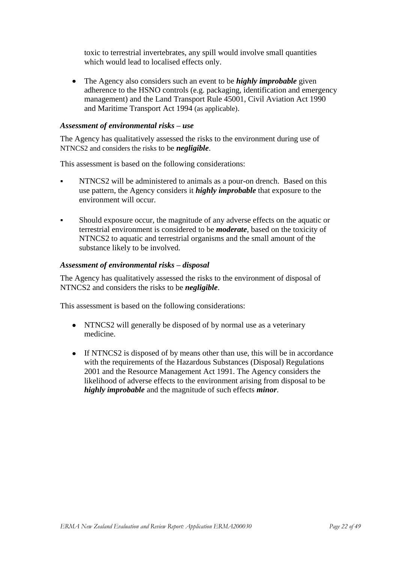toxic to terrestrial invertebrates, any spill would involve small quantities which would lead to localised effects only.

The Agency also considers such an event to be *highly improbable* given  $\bullet$ adherence to the HSNO controls (e.g. packaging, identification and emergency management) and the Land Transport Rule 45001, Civil Aviation Act 1990 and Maritime Transport Act 1994 (as applicable).

#### *Assessment of environmental risks – use*

The Agency has qualitatively assessed the risks to the environment during use of NTNCS2 and considers the risks to be *negligible*.

This assessment is based on the following considerations:

- NTNCS2 will be administered to animals as a pour-on drench. Based on this use pattern, the Agency considers it *highly improbable* that exposure to the environment will occur.
- Should exposure occur, the magnitude of any adverse effects on the aquatic or terrestrial environment is considered to be *moderate*, based on the toxicity of NTNCS2 to aquatic and terrestrial organisms and the small amount of the substance likely to be involved.

#### *Assessment of environmental risks – disposal*

The Agency has qualitatively assessed the risks to the environment of disposal of NTNCS2 and considers the risks to be *negligible*.

This assessment is based on the following considerations:

- NTNCS2 will generally be disposed of by normal use as a veterinary medicine.
- If NTNCS2 is disposed of by means other than use, this will be in accordance with the requirements of the Hazardous Substances (Disposal) Regulations 2001 and the Resource Management Act 1991. The Agency considers the likelihood of adverse effects to the environment arising from disposal to be *highly improbable* and the magnitude of such effects *minor*.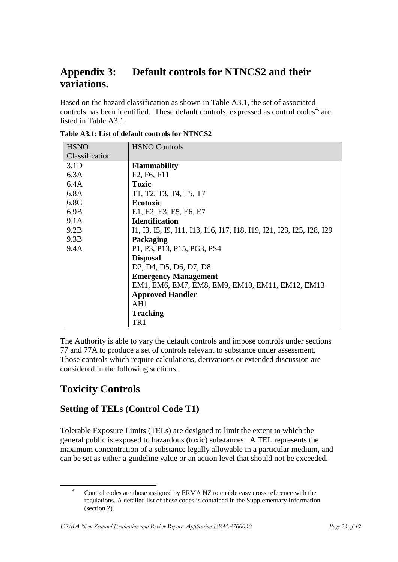# <span id="page-22-0"></span>**Appendix 3: Default controls for NTNCS2 and their variations.**

Based on the hazard classification as shown in Table A3.1, the set of associated controls has been identified. These default controls, expressed as control codes<sup>4,</sup> are listed in Table A3.1.

| <b>HSNO</b>    | <b>HSNO Controls</b>                                                                                |
|----------------|-----------------------------------------------------------------------------------------------------|
| Classification |                                                                                                     |
| 3.1D           | <b>Flammability</b>                                                                                 |
| 6.3A           | F <sub>2</sub> , F <sub>6</sub> , F <sub>11</sub>                                                   |
| 6.4A           | <b>Toxic</b>                                                                                        |
| 6.8A           | T1, T2, T3, T4, T5, T7                                                                              |
| 6.8C           | Ecotoxic                                                                                            |
| 6.9B           | E1, E2, E3, E5, E6, E7                                                                              |
| 9.1A           | <b>Identification</b>                                                                               |
| 9.2B           | 11, 13, 15, 19, 111, 113, 116, 117, 118, 119, 121, 123, 125, 128, 129                               |
| 9.3B           | Packaging                                                                                           |
| 9.4A           | P1, P3, P13, P15, PG3, PS4                                                                          |
|                | <b>Disposal</b>                                                                                     |
|                | D <sub>2</sub> , D <sub>4</sub> , D <sub>5</sub> , D <sub>6</sub> , D <sub>7</sub> , D <sub>8</sub> |
|                | <b>Emergency Management</b>                                                                         |
|                | EM1, EM6, EM7, EM8, EM9, EM10, EM11, EM12, EM13                                                     |
|                | <b>Approved Handler</b>                                                                             |
|                | AH1                                                                                                 |
|                | <b>Tracking</b>                                                                                     |
|                | TR1                                                                                                 |

**Table A3.1: List of default controls for NTNCS2** 

The Authority is able to vary the default controls and impose controls under sections 77 and 77A to produce a set of controls relevant to substance under assessment. Those controls which require calculations, derivations or extended discussion are considered in the following sections.

# **Toxicity Controls**

1

# **Setting of TELs (Control Code T1)**

Tolerable Exposure Limits (TELs) are designed to limit the extent to which the general public is exposed to hazardous (toxic) substances. A TEL represents the maximum concentration of a substance legally allowable in a particular medium, and can be set as either a guideline value or an action level that should not be exceeded.

Control codes are those assigned by ERMA NZ to enable easy cross reference with the regulations. A detailed list of these codes is contained in the Supplementary Information (section 2).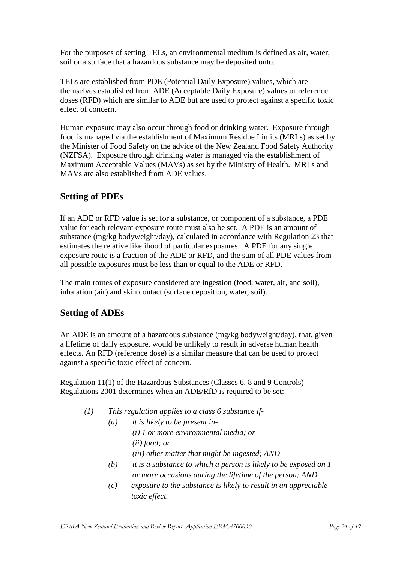For the purposes of setting TELs, an environmental medium is defined as air, water, soil or a surface that a hazardous substance may be deposited onto.

TELs are established from PDE (Potential Daily Exposure) values, which are themselves established from ADE (Acceptable Daily Exposure) values or reference doses (RFD) which are similar to ADE but are used to protect against a specific toxic effect of concern.

Human exposure may also occur through food or drinking water. Exposure through food is managed via the establishment of Maximum Residue Limits (MRLs) as set by the Minister of Food Safety on the advice of the New Zealand Food Safety Authority (NZFSA). Exposure through drinking water is managed via the establishment of Maximum Acceptable Values (MAVs) as set by the Ministry of Health. MRLs and MAVs are also established from ADE values.

### **Setting of PDEs**

If an ADE or RFD value is set for a substance, or component of a substance, a PDE value for each relevant exposure route must also be set. A PDE is an amount of substance (mg/kg bodyweight/day), calculated in accordance with Regulation 23 that estimates the relative likelihood of particular exposures. A PDE for any single exposure route is a fraction of the ADE or RFD, and the sum of all PDE values from all possible exposures must be less than or equal to the ADE or RFD.

The main routes of exposure considered are ingestion (food, water, air, and soil), inhalation (air) and skin contact (surface deposition, water, soil).

### **Setting of ADEs**

An ADE is an amount of a hazardous substance (mg/kg bodyweight/day), that, given a lifetime of daily exposure, would be unlikely to result in adverse human health effects. An RFD (reference dose) is a similar measure that can be used to protect against a specific toxic effect of concern.

Regulation 11(1) of the Hazardous Substances (Classes 6, 8 and 9 Controls) Regulations 2001 determines when an ADE/RfD is required to be set:

- *(1) This regulation applies to a class 6 substance if-*
	- *(a) it is likely to be present in- (i) 1 or more environmental media; or (ii) food; or (iii) other matter that might be ingested; AND*
	- *(b) it is a substance to which a person is likely to be exposed on 1 or more occasions during the lifetime of the person; AND*
	- *(c) exposure to the substance is likely to result in an appreciable toxic effect.*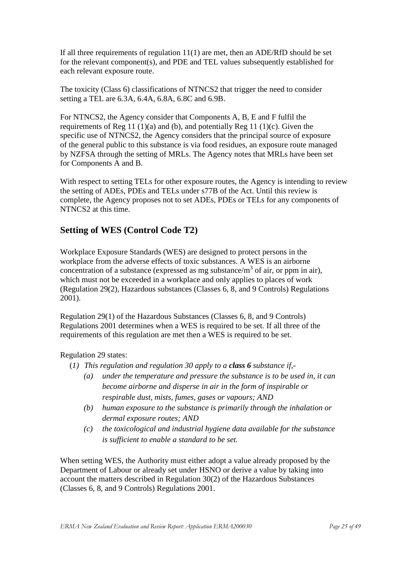If all three requirements of regulation 11(1) are met, then an ADE/RfD should be set for the relevant component(s), and PDE and TEL values subsequently established for each relevant exposure route.

The toxicity (Class 6) classifications of NTNCS2 that trigger the need to consider setting a TEL are 6.3A, 6.4A, 6.8A, 6.8C and 6.9B.

For NTNCS2, the Agency consider that Components A, B, E and F fulfil the requirements of Reg 11 (1)(a) and (b), and potentially Reg 11 (1)(c). Given the specific use of NTNCS2, the Agency considers that the principal source of exposure of the general public to this substance is via food residues, an exposure route managed by NZFSA through the setting of MRLs. The Agency notes that MRLs have been set for Components A and B.

With respect to setting TELs for other exposure routes, the Agency is intending to review the setting of ADEs, PDEs and TELs under s77B of the Act. Until this review is complete, the Agency proposes not to set ADEs, PDEs or TELs for any components of NTNCS2 at this time.

### **Setting of WES (Control Code T2)**

Workplace Exposure Standards (WES) are designed to protect persons in the workplace from the adverse effects of toxic substances. A WES is an airborne concentration of a substance (expressed as mg substance/ $m<sup>3</sup>$  of air, or ppm in air), which must not be exceeded in a workplace and only applies to places of work (Regulation 29(2), Hazardous substances (Classes 6, 8, and 9 Controls) Regulations 2001).

Regulation 29(1) of the Hazardous Substances (Classes 6, 8, and 9 Controls) Regulations 2001 determines when a WES is required to be set. If all three of the requirements of this regulation are met then a WES is required to be set.

Regulation 29 states:

- (*1) This regulation and regulation 30 apply to a class 6 substance if,-*
	- *(a) under the temperature and pressure the substance is to be used in, it can become airborne and disperse in air in the form of inspirable or respirable dust, mists, fumes, gases or vapours; AND*
	- *(b) human exposure to the substance is primarily through the inhalation or dermal exposure routes; AND*
	- *(c) the toxicological and industrial hygiene data available for the substance is sufficient to enable a standard to be set.*

When setting WES, the Authority must either adopt a value already proposed by the Department of Labour or already set under HSNO or derive a value by taking into account the matters described in Regulation 30(2) of the Hazardous Substances (Classes 6, 8, and 9 Controls) Regulations 2001.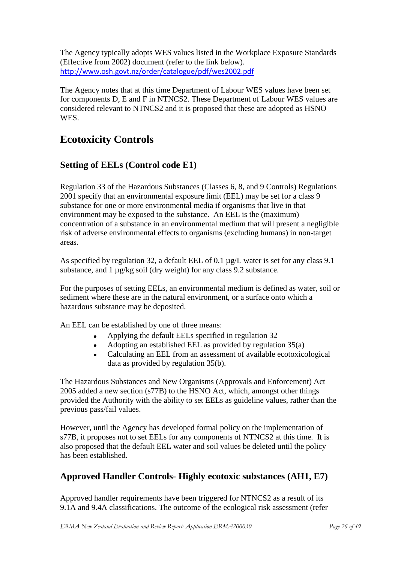The Agency typically adopts WES values listed in the Workplace Exposure Standards (Effective from 2002) document (refer to the link below). <http://www.osh.govt.nz/order/catalogue/pdf/wes2002.pdf>

The Agency notes that at this time Department of Labour WES values have been set for components D, E and F in NTNCS2. These Department of Labour WES values are considered relevant to NTNCS2 and it is proposed that these are adopted as HSNO WES.

# **Ecotoxicity Controls**

# **Setting of EELs (Control code E1)**

Regulation 33 of the Hazardous Substances (Classes 6, 8, and 9 Controls) Regulations 2001 specify that an environmental exposure limit (EEL) may be set for a class 9 substance for one or more environmental media if organisms that live in that environment may be exposed to the substance. An EEL is the (maximum) concentration of a substance in an environmental medium that will present a negligible risk of adverse environmental effects to organisms (excluding humans) in non-target areas.

As specified by regulation 32, a default EEL of 0.1 µg/L water is set for any class 9.1 substance, and 1  $\mu$ g/kg soil (dry weight) for any class 9.2 substance.

For the purposes of setting EELs, an environmental medium is defined as water, soil or sediment where these are in the natural environment, or a surface onto which a hazardous substance may be deposited.

An EEL can be established by one of three means:

- Applying the default EELs specified in regulation 32
- Adopting an established EEL as provided by regulation 35(a)
- Calculating an EEL from an assessment of available ecotoxicological data as provided by regulation 35(b).

The Hazardous Substances and New Organisms (Approvals and Enforcement) Act 2005 added a new section (s77B) to the HSNO Act, which, amongst other things provided the Authority with the ability to set EELs as guideline values, rather than the previous pass/fail values.

However, until the Agency has developed formal policy on the implementation of s77B, it proposes not to set EELs for any components of NTNCS2 at this time. It is also proposed that the default EEL water and soil values be deleted until the policy has been established.

# **Approved Handler Controls- Highly ecotoxic substances (AH1, E7)**

Approved handler requirements have been triggered for NTNCS2 as a result of its 9.1A and 9.4A classifications. The outcome of the ecological risk assessment (refer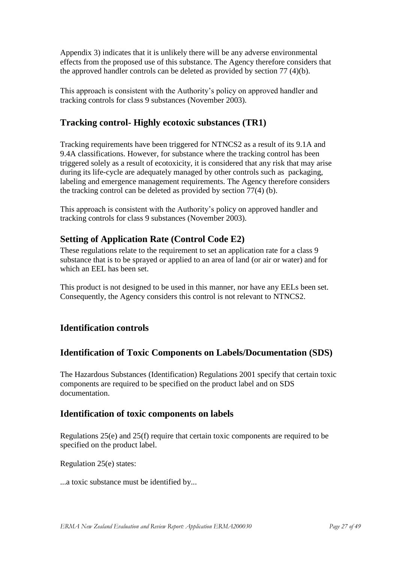Appendix 3) indicates that it is unlikely there will be any adverse environmental effects from the proposed use of this substance. The Agency therefore considers that the approved handler controls can be deleted as provided by section 77 (4)(b).

This approach is consistent with the Authority"s policy on approved handler and tracking controls for class 9 substances (November 2003).

### **Tracking control- Highly ecotoxic substances (TR1)**

Tracking requirements have been triggered for NTNCS2 as a result of its 9.1A and 9.4A classifications. However, for substance where the tracking control has been triggered solely as a result of ecotoxicity, it is considered that any risk that may arise during its life-cycle are adequately managed by other controls such as packaging, labeling and emergence management requirements. The Agency therefore considers the tracking control can be deleted as provided by section 77(4) (b).

This approach is consistent with the Authority"s policy on approved handler and tracking controls for class 9 substances (November 2003).

### **Setting of Application Rate (Control Code E2)**

These regulations relate to the requirement to set an application rate for a class 9 substance that is to be sprayed or applied to an area of land (or air or water) and for which an EEL has been set.

This product is not designed to be used in this manner, nor have any EELs been set. Consequently, the Agency considers this control is not relevant to NTNCS2.

### **Identification controls**

### **Identification of Toxic Components on Labels/Documentation (SDS)**

The Hazardous Substances (Identification) Regulations 2001 specify that certain toxic components are required to be specified on the product label and on SDS documentation.

### **Identification of toxic components on labels**

Regulations 25(e) and 25(f) require that certain toxic components are required to be specified on the product label.

Regulation 25(e) states:

...a toxic substance must be identified by...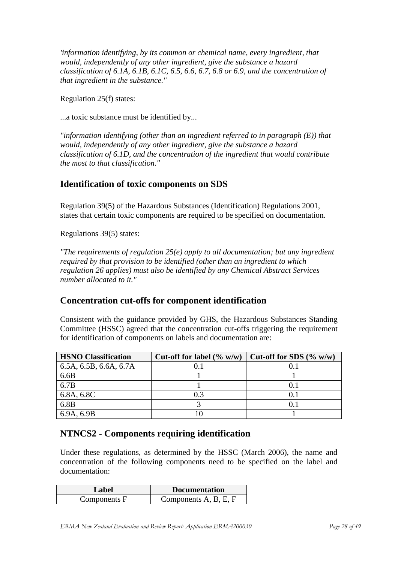*'information identifying, by its common or chemical name, every ingredient, that would, independently of any other ingredient, give the substance a hazard classification of 6.1A, 6.1B, 6.1C, 6.5, 6.6, 6.7, 6.8 or 6.9, and the concentration of that ingredient in the substance."*

Regulation 25(f) states:

...a toxic substance must be identified by...

*"information identifying (other than an ingredient referred to in paragraph (E)) that would, independently of any other ingredient, give the substance a hazard classification of 6.1D, and the concentration of the ingredient that would contribute the most to that classification."*

### **Identification of toxic components on SDS**

Regulation 39(5) of the Hazardous Substances (Identification) Regulations 2001, states that certain toxic components are required to be specified on documentation.

Regulations 39(5) states:

*"The requirements of regulation 25(e) apply to all documentation; but any ingredient required by that provision to be identified (other than an ingredient to which regulation 26 applies) must also be identified by any Chemical Abstract Services number allocated to it."*

### **Concentration cut-offs for component identification**

Consistent with the guidance provided by GHS, the Hazardous Substances Standing Committee (HSSC) agreed that the concentration cut-offs triggering the requirement for identification of components on labels and documentation are:

| <b>HSNO Classification</b> | Cut-off for label $(\% w/w)$ | Cut-off for SDS $(\% w/w)$ |
|----------------------------|------------------------------|----------------------------|
| 6.5A, 6.5B, 6.6A, 6.7A     |                              |                            |
| 6.6B                       |                              |                            |
| 6.7B                       |                              |                            |
| 6.8A, 6.8C                 |                              |                            |
| 6.8B                       |                              |                            |
| 6.9A, 6.9B                 |                              |                            |

### **NTNCS2 - Components requiring identification**

Under these regulations, as determined by the HSSC (March 2006), the name and concentration of the following components need to be specified on the label and documentation:

<span id="page-27-0"></span>

| Label        | <b>Documentation</b>  |
|--------------|-----------------------|
| Components F | Components A, B, E, F |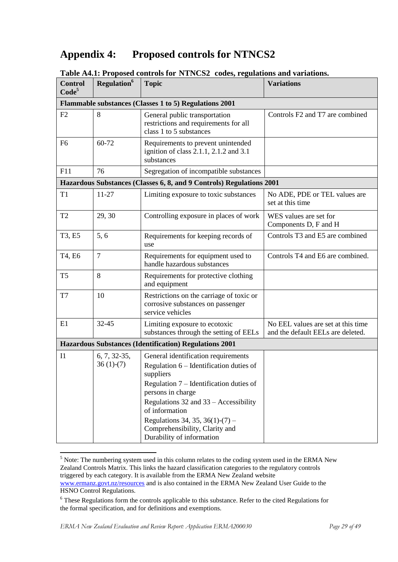# **Appendix 4: Proposed controls for NTNCS2**

| <b>Control</b><br>Code <sup>5</sup> | 2.11<br><b>Regulation</b> <sup>6</sup>                 | <b>Topic</b>                                                                                                                                                                                                                                                                                                                 | <b>Variations</b>                                                       |  |  |
|-------------------------------------|--------------------------------------------------------|------------------------------------------------------------------------------------------------------------------------------------------------------------------------------------------------------------------------------------------------------------------------------------------------------------------------------|-------------------------------------------------------------------------|--|--|
|                                     | Flammable substances (Classes 1 to 5) Regulations 2001 |                                                                                                                                                                                                                                                                                                                              |                                                                         |  |  |
| F2                                  | 8                                                      | General public transportation<br>restrictions and requirements for all<br>class 1 to 5 substances                                                                                                                                                                                                                            | Controls F2 and T7 are combined                                         |  |  |
| F <sub>6</sub>                      | 60-72                                                  | Requirements to prevent unintended<br>ignition of class 2.1.1, 2.1.2 and 3.1<br>substances                                                                                                                                                                                                                                   |                                                                         |  |  |
| F11                                 | 76                                                     | Segregation of incompatible substances                                                                                                                                                                                                                                                                                       |                                                                         |  |  |
|                                     |                                                        | Hazardous Substances (Classes 6, 8, and 9 Controls) Regulations 2001                                                                                                                                                                                                                                                         |                                                                         |  |  |
| T1                                  | $11-27$                                                | Limiting exposure to toxic substances                                                                                                                                                                                                                                                                                        | No ADE, PDE or TEL values are<br>set at this time                       |  |  |
| T <sub>2</sub>                      | 29, 30                                                 | Controlling exposure in places of work                                                                                                                                                                                                                                                                                       | WES values are set for<br>Components D, F and H                         |  |  |
| T3, E5                              | 5,6                                                    | Requirements for keeping records of<br>use                                                                                                                                                                                                                                                                                   | Controls T3 and E5 are combined                                         |  |  |
| T4, E6                              | $\overline{7}$                                         | Requirements for equipment used to<br>handle hazardous substances                                                                                                                                                                                                                                                            | Controls T4 and E6 are combined.                                        |  |  |
| T <sub>5</sub>                      | 8                                                      | Requirements for protective clothing<br>and equipment                                                                                                                                                                                                                                                                        |                                                                         |  |  |
| T7                                  | 10                                                     | Restrictions on the carriage of toxic or<br>corrosive substances on passenger<br>service vehicles                                                                                                                                                                                                                            |                                                                         |  |  |
| E1                                  | 32-45                                                  | Limiting exposure to ecotoxic<br>substances through the setting of EELs                                                                                                                                                                                                                                                      | No EEL values are set at this time<br>and the default EELs are deleted. |  |  |
|                                     |                                                        | <b>Hazardous Substances (Identification) Regulations 2001</b>                                                                                                                                                                                                                                                                |                                                                         |  |  |
| I <sub>1</sub>                      | $6, 7, 32-35,$<br>$36(1)-(7)$                          | General identification requirements<br>Regulation $6$ – Identification duties of<br>suppliers<br>Regulation $7$ – Identification duties of<br>persons in charge<br>Regulations 32 and 33 - Accessibility<br>of information<br>Regulations 34, 35, 36(1)-(7) –<br>Comprehensibility, Clarity and<br>Durability of information |                                                                         |  |  |

**Table A4.1: Proposed controls for NTNCS2 codes, regulations and variations.**

<sup>5</sup> Note: The numbering system used in this column relates to the coding system used in the ERMA New Zealand Controls Matrix. This links the hazard classification categories to the regulatory controls triggered by each category. It is available from the ERMA New Zealand website [www.ermanz.govt.nz/resources](http://www.ermanz.govt.nz/resources) and is also contained in the ERMA New Zealand User Guide to the HSNO Control Regulations.

**.** 

<sup>6</sup> These Regulations form the controls applicable to this substance. Refer to the cited Regulations for the formal specification, and for definitions and exemptions.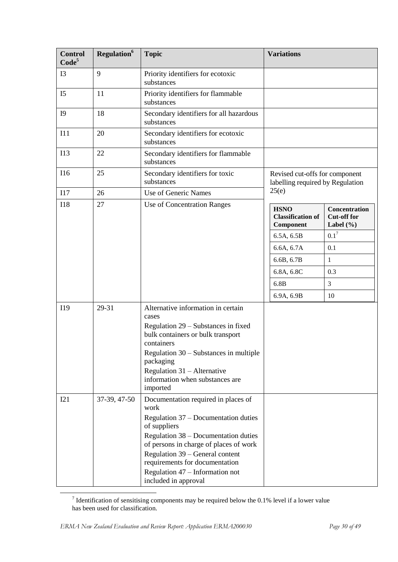| <b>Control</b><br>Code <sup>5</sup> | Regulation <sup>6</sup> | <b>Topic</b>                                                                                                                                                                                                                                                                                                          | <b>Variations</b>                                                  |                                                      |
|-------------------------------------|-------------------------|-----------------------------------------------------------------------------------------------------------------------------------------------------------------------------------------------------------------------------------------------------------------------------------------------------------------------|--------------------------------------------------------------------|------------------------------------------------------|
| I3                                  | 9                       | Priority identifiers for ecotoxic<br>substances                                                                                                                                                                                                                                                                       |                                                                    |                                                      |
| I <sub>5</sub>                      | 11                      | Priority identifiers for flammable<br>substances                                                                                                                                                                                                                                                                      |                                                                    |                                                      |
| I <sub>9</sub>                      | 18                      | Secondary identifiers for all hazardous<br>substances                                                                                                                                                                                                                                                                 |                                                                    |                                                      |
| I11                                 | 20                      | Secondary identifiers for ecotoxic<br>substances                                                                                                                                                                                                                                                                      |                                                                    |                                                      |
| I13                                 | 22                      | Secondary identifiers for flammable<br>substances                                                                                                                                                                                                                                                                     |                                                                    |                                                      |
| I16                                 | 25                      | Secondary identifiers for toxic<br>substances                                                                                                                                                                                                                                                                         | Revised cut-offs for component<br>labelling required by Regulation |                                                      |
| I17                                 | 26                      | Use of Generic Names                                                                                                                                                                                                                                                                                                  | 25(e)                                                              |                                                      |
| <b>I18</b>                          | 27                      | Use of Concentration Ranges                                                                                                                                                                                                                                                                                           | <b>HSNO</b><br><b>Classification of</b><br>Component               | Concentration<br><b>Cut-off for</b><br>Label $(\% )$ |
|                                     |                         |                                                                                                                                                                                                                                                                                                                       | 6.5A, 6.5B                                                         | $0.1^7$                                              |
|                                     |                         |                                                                                                                                                                                                                                                                                                                       | 6.6A, 6.7A                                                         | 0.1                                                  |
|                                     |                         |                                                                                                                                                                                                                                                                                                                       | 6.6B, 6.7B                                                         | $\mathbf{1}$                                         |
|                                     |                         |                                                                                                                                                                                                                                                                                                                       | 6.8A, 6.8C                                                         | 0.3                                                  |
|                                     |                         |                                                                                                                                                                                                                                                                                                                       | 6.8B                                                               | 3                                                    |
|                                     |                         |                                                                                                                                                                                                                                                                                                                       | 6.9A, 6.9B                                                         | 10                                                   |
| I19                                 | 29-31                   | Alternative information in certain<br>cases<br>Regulation 29 – Substances in fixed<br>bulk containers or bulk transport<br>containers<br>Regulation $30 -$ Substances in multiple<br>packaging<br>Regulation $31 -$ Alternative<br>information when substances are<br>imported                                        |                                                                    |                                                      |
| I21                                 | 37-39, 47-50            | Documentation required in places of<br>work<br>Regulation 37 – Documentation duties<br>of suppliers<br>Regulation 38 – Documentation duties<br>of persons in charge of places of work<br>Regulation 39 – General content<br>requirements for documentation<br>Regulation 47 – Information not<br>included in approval |                                                                    |                                                      |

<sup>&</sup>lt;sup>7</sup> Identification of sensitising components may be required below the 0.1% level if a lower value has been used for classification.

**.**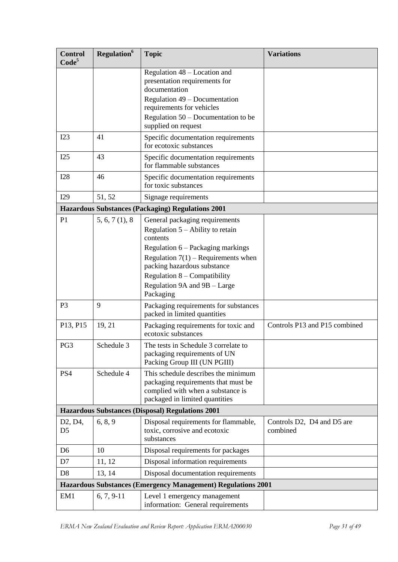| <b>Control</b><br>Code <sup>5</sup>                 | <b>Regulation</b> <sup>6</sup> | <b>Topic</b>                                                                                                                                                                                                 | <b>Variations</b>                      |
|-----------------------------------------------------|--------------------------------|--------------------------------------------------------------------------------------------------------------------------------------------------------------------------------------------------------------|----------------------------------------|
|                                                     |                                | Regulation 48 – Location and<br>presentation requirements for<br>documentation<br>Regulation 49 – Documentation<br>requirements for vehicles<br>Regulation $50 -$ Documentation to be<br>supplied on request |                                        |
| I23                                                 | 41                             | Specific documentation requirements<br>for ecotoxic substances                                                                                                                                               |                                        |
| I25                                                 | 43                             | Specific documentation requirements<br>for flammable substances                                                                                                                                              |                                        |
| <b>I28</b>                                          | 46                             | Specific documentation requirements<br>for toxic substances                                                                                                                                                  |                                        |
| I29                                                 | 51, 52                         | Signage requirements                                                                                                                                                                                         |                                        |
|                                                     |                                | <b>Hazardous Substances (Packaging) Regulations 2001</b>                                                                                                                                                     |                                        |
| P <sub>1</sub>                                      | 5, 6, 7(1), 8                  | General packaging requirements<br>Regulation $5 -$ Ability to retain<br>contents<br>Regulation 6 – Packaging markings                                                                                        |                                        |
|                                                     |                                | Regulation $7(1)$ – Requirements when<br>packing hazardous substance<br>Regulation $8$ – Compatibility<br>Regulation 9A and 9B - Large<br>Packaging                                                          |                                        |
| P <sub>3</sub>                                      | 9                              | Packaging requirements for substances<br>packed in limited quantities                                                                                                                                        |                                        |
| P13, P15                                            | 19, 21                         | Packaging requirements for toxic and<br>ecotoxic substances                                                                                                                                                  | Controls P13 and P15 combined          |
| PG3                                                 | Schedule 3                     | The tests in Schedule 3 correlate to<br>packaging requirements of UN<br>Packing Group III (UN PGIII)                                                                                                         |                                        |
| PS4                                                 | Schedule 4                     | This schedule describes the minimum<br>packaging requirements that must be<br>complied with when a substance is<br>packaged in limited quantities                                                            |                                        |
|                                                     |                                | <b>Hazardous Substances (Disposal) Regulations 2001</b>                                                                                                                                                      |                                        |
| D <sub>2</sub> , D <sub>4</sub> ,<br>D <sub>5</sub> | 6, 8, 9                        | Disposal requirements for flammable,<br>toxic, corrosive and ecotoxic<br>substances                                                                                                                          | Controls D2, D4 and D5 are<br>combined |
| D <sub>6</sub>                                      | 10                             | Disposal requirements for packages                                                                                                                                                                           |                                        |
| D7                                                  | 11, 12                         | Disposal information requirements                                                                                                                                                                            |                                        |
| D <sub>8</sub>                                      | 13, 14                         | Disposal documentation requirements                                                                                                                                                                          |                                        |
|                                                     |                                | <b>Hazardous Substances (Emergency Management) Regulations 2001</b>                                                                                                                                          |                                        |
| EM1                                                 | $6, 7, 9-11$                   | Level 1 emergency management<br>information: General requirements                                                                                                                                            |                                        |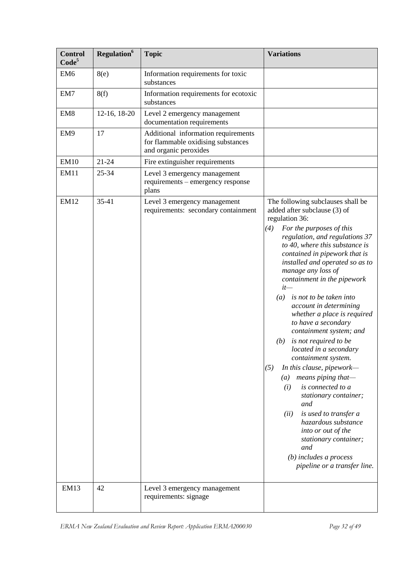| <b>Control</b><br>Code <sup>5</sup> | Regulation <sup>6</sup> | <b>Topic</b>                                                                                       | <b>Variations</b>                                                                                                                                                                                                                                                                                                                                                                                                                                                                                                                                                                                                                                                                                                                                                                                                                                                              |
|-------------------------------------|-------------------------|----------------------------------------------------------------------------------------------------|--------------------------------------------------------------------------------------------------------------------------------------------------------------------------------------------------------------------------------------------------------------------------------------------------------------------------------------------------------------------------------------------------------------------------------------------------------------------------------------------------------------------------------------------------------------------------------------------------------------------------------------------------------------------------------------------------------------------------------------------------------------------------------------------------------------------------------------------------------------------------------|
| EM <sub>6</sub>                     | 8(e)                    | Information requirements for toxic<br>substances                                                   |                                                                                                                                                                                                                                                                                                                                                                                                                                                                                                                                                                                                                                                                                                                                                                                                                                                                                |
| EM7                                 | 8(f)                    | Information requirements for ecotoxic<br>substances                                                |                                                                                                                                                                                                                                                                                                                                                                                                                                                                                                                                                                                                                                                                                                                                                                                                                                                                                |
| EM <sub>8</sub>                     | 12-16, 18-20            | Level 2 emergency management<br>documentation requirements                                         |                                                                                                                                                                                                                                                                                                                                                                                                                                                                                                                                                                                                                                                                                                                                                                                                                                                                                |
| EM9                                 | 17                      | Additional information requirements<br>for flammable oxidising substances<br>and organic peroxides |                                                                                                                                                                                                                                                                                                                                                                                                                                                                                                                                                                                                                                                                                                                                                                                                                                                                                |
| <b>EM10</b>                         | $21 - 24$               | Fire extinguisher requirements                                                                     |                                                                                                                                                                                                                                                                                                                                                                                                                                                                                                                                                                                                                                                                                                                                                                                                                                                                                |
| EM11                                | 25-34                   | Level 3 emergency management<br>requirements - emergency response<br>plans                         |                                                                                                                                                                                                                                                                                                                                                                                                                                                                                                                                                                                                                                                                                                                                                                                                                                                                                |
| <b>EM12</b>                         | $35 - 41$               | Level 3 emergency management<br>requirements: secondary containment                                | The following subclauses shall be<br>added after subclause (3) of<br>regulation 36:<br>(4)<br>For the purposes of this<br>regulation, and regulations 37<br>to 40, where this substance is<br>contained in pipework that is<br>installed and operated so as to<br>manage any loss of<br>containment in the pipework<br>$it-$<br>is not to be taken into<br>(a)<br>account in determining<br>whether a place is required<br>to have a secondary<br>containment system; and<br>is not required to be<br>(b)<br>located in a secondary<br>containment system.<br>(5)<br>In this clause, pipework—<br>means piping that-<br>$\left(a\right)$<br>is connected to a<br>(i)<br>stationary container;<br>and<br>is used to transfer a<br>(ii)<br>hazardous substance<br>into or out of the<br>stationary container;<br>and<br>$(b)$ includes a process<br>pipeline or a transfer line. |
| <b>EM13</b>                         | 42                      | Level 3 emergency management<br>requirements: signage                                              |                                                                                                                                                                                                                                                                                                                                                                                                                                                                                                                                                                                                                                                                                                                                                                                                                                                                                |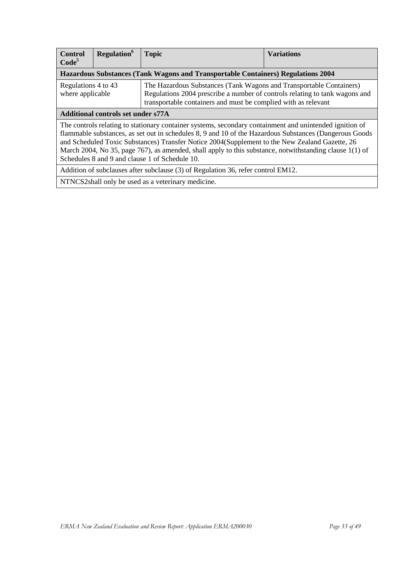| <b>Control</b><br>Code <sup>5</sup>                                              | Regulation <sup>6</sup>                   | <b>Topic</b>                                                                                                                                                                                                                                                                                                                                                                                                                                                                      | <b>Variations</b> |  |
|----------------------------------------------------------------------------------|-------------------------------------------|-----------------------------------------------------------------------------------------------------------------------------------------------------------------------------------------------------------------------------------------------------------------------------------------------------------------------------------------------------------------------------------------------------------------------------------------------------------------------------------|-------------------|--|
|                                                                                  |                                           | Hazardous Substances (Tank Wagons and Transportable Containers) Regulations 2004                                                                                                                                                                                                                                                                                                                                                                                                  |                   |  |
| Regulations 4 to 43<br>where applicable                                          |                                           | The Hazardous Substances (Tank Wagons and Transportable Containers)<br>Regulations 2004 prescribe a number of controls relating to tank wagons and<br>transportable containers and must be complied with as relevant                                                                                                                                                                                                                                                              |                   |  |
|                                                                                  | <b>Additional controls set under s77A</b> |                                                                                                                                                                                                                                                                                                                                                                                                                                                                                   |                   |  |
|                                                                                  |                                           | The controls relating to stationary container systems, secondary containment and unintended ignition of<br>flammable substances, as set out in schedules 8, 9 and 10 of the Hazardous Substances (Dangerous Goods<br>and Scheduled Toxic Substances) Transfer Notice 2004 (Supplement to the New Zealand Gazette, 26<br>March 2004, No 35, page 767), as amended, shall apply to this substance, notwithstanding clause 1(1) of<br>Schedules 8 and 9 and clause 1 of Schedule 10. |                   |  |
| Addition of subclauses after subclause (3) of Regulation 36, refer control EM12. |                                           |                                                                                                                                                                                                                                                                                                                                                                                                                                                                                   |                   |  |
|                                                                                  |                                           | NTNCS2shall only be used as a veterinary medicine.                                                                                                                                                                                                                                                                                                                                                                                                                                |                   |  |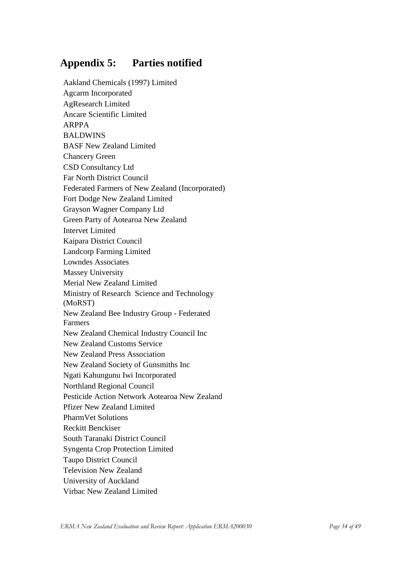# <span id="page-33-0"></span>**Appendix 5: Parties notified**

Aakland Chemicals (1997) Limited Agcarm Incorporated AgResearch Limited Ancare Scientific Limited ARPPA BALDWINS BASF New Zealand Limited Chancery Green CSD Consultancy Ltd Far North District Council Federated Farmers of New Zealand (Incorporated) Fort Dodge New Zealand Limited Grayson Wagner Company Ltd Green Party of Aotearoa New Zealand Intervet Limited Kaipara District Council Landcorp Farming Limited Lowndes Associates Massey University Merial New Zealand Limited Ministry of Research Science and Technology (MoRST) New Zealand Bee Industry Group - Federated Farmers New Zealand Chemical Industry Council Inc New Zealand Customs Service New Zealand Press Association New Zealand Society of Gunsmiths Inc Ngati Kahungunu Iwi Incorporated Northland Regional Council Pesticide Action Network Aotearoa New Zealand Pfizer New Zealand Limited PharmVet Solutions Reckitt Benckiser South Taranaki District Council Syngenta Crop Protection Limited Taupo District Council Television New Zealand University of Auckland Virbac New Zealand Limited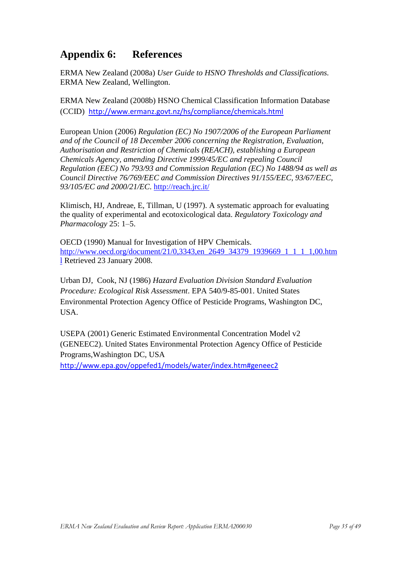# <span id="page-34-0"></span>**Appendix 6: References**

ERMA New Zealand (2008a) *User Guide to HSNO Thresholds and Classifications.* ERMA New Zealand, Wellington.

ERMA New Zealand (2008b) HSNO Chemical Classification Information Database (CCID) <http://www.ermanz.govt.nz/hs/compliance/chemicals.html>

European Union (2006) *Regulation (EC) No 1907/2006 of the European Parliament and of the Council of 18 December 2006 concerning the Registration, Evaluation, Authorisation and Restriction of Chemicals (REACH), establishing a European Chemicals Agency, amending Directive 1999/45/EC and repealing Council Regulation (EEC) No 793/93 and Commission Regulation (EC) No 1488/94 as well as Council Directive 76/769/EEC and Commission Directives 91/155/EEC, 93/67/EEC, 93/105/EC and 2000/21/EC*.<http://reach.jrc.it/>

Klimisch, HJ, Andreae, E, Tillman, U (1997). A systematic approach for evaluating the quality of experimental and ecotoxicological data. *Regulatory Toxicology and Pharmacology* 25: 1–5.

OECD (1990) Manual for Investigation of HPV Chemicals. [http://www.oecd.org/document/21/0,3343,en\\_2649\\_34379\\_1939669\\_1\\_1\\_1\\_1,00.htm](http://www.oecd.org/document/21/0,3343,en_2649_34379_1939669_1_1_1_1,00.html) [l](http://www.oecd.org/document/21/0,3343,en_2649_34379_1939669_1_1_1_1,00.html) Retrieved 23 January 2008.

Urban DJ, Cook, NJ (1986) *Hazard Evaluation Division Standard Evaluation Procedure: Ecological Risk Assessment*. EPA 540/9-85-001. United States Environmental Protection Agency Office of Pesticide Programs, Washington DC, USA.

USEPA (2001) Generic Estimated Environmental Concentration Model v2 (GENEEC2). United States Environmental Protection Agency Office of Pesticide Programs,Washington DC, USA

<span id="page-34-1"></span><http://www.epa.gov/oppefed1/models/water/index.htm#geneec2>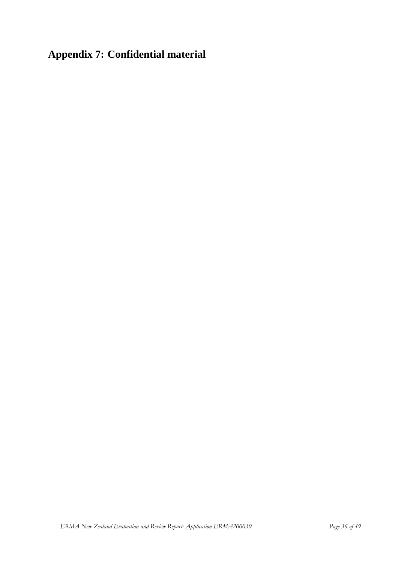# **Appendix 7: Confidential material**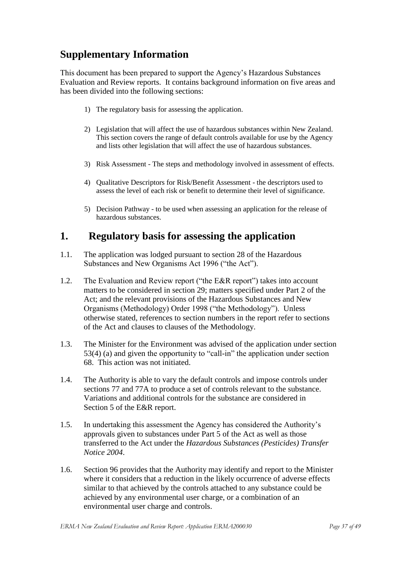# <span id="page-36-0"></span>**Supplementary Information**

This document has been prepared to support the Agency"s Hazardous Substances Evaluation and Review reports. It contains background information on five areas and has been divided into the following sections:

- 1) The regulatory basis for assessing the application.
- 2) Legislation that will affect the use of hazardous substances within New Zealand. This section covers the range of default controls available for use by the Agency and lists other legislation that will affect the use of hazardous substances.
- 3) Risk Assessment The steps and methodology involved in assessment of effects.
- 4) Qualitative Descriptors for Risk/Benefit Assessment the descriptors used to assess the level of each risk or benefit to determine their level of significance.
- 5) Decision Pathway to be used when assessing an application for the release of hazardous substances.

# <span id="page-36-1"></span>**1. Regulatory basis for assessing the application**

- 1.1. The application was lodged pursuant to section 28 of the Hazardous Substances and New Organisms Act 1996 ("the Act").
- 1.2. The Evaluation and Review report ("the E&R report") takes into account matters to be considered in section 29; matters specified under Part 2 of the Act; and the relevant provisions of the Hazardous Substances and New Organisms (Methodology) Order 1998 ("the Methodology"). Unless otherwise stated, references to section numbers in the report refer to sections of the Act and clauses to clauses of the Methodology.
- 1.3. The Minister for the Environment was advised of the application under section 53(4) (a) and given the opportunity to "call-in" the application under section 68. This action was not initiated.
- 1.4. The Authority is able to vary the default controls and impose controls under sections 77 and 77A to produce a set of controls relevant to the substance. Variations and additional controls for the substance are considered in Section 5 of the E&R report.
- 1.5. In undertaking this assessment the Agency has considered the Authority"s approvals given to substances under Part 5 of the Act as well as those transferred to the Act under the *Hazardous Substances (Pesticides) Transfer Notice 2004*.
- 1.6. Section 96 provides that the Authority may identify and report to the Minister where it considers that a reduction in the likely occurrence of adverse effects similar to that achieved by the controls attached to any substance could be achieved by any environmental user charge, or a combination of an environmental user charge and controls.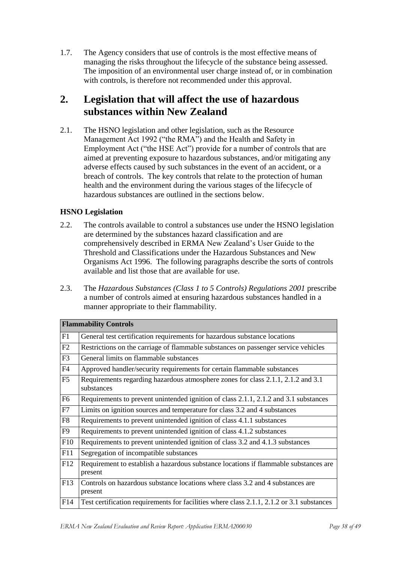1.7. The Agency considers that use of controls is the most effective means of managing the risks throughout the lifecycle of the substance being assessed. The imposition of an environmental user charge instead of, or in combination with controls, is therefore not recommended under this approval.

# <span id="page-37-0"></span>**2. Legislation that will affect the use of hazardous substances within New Zealand**

2.1. The HSNO legislation and other legislation, such as the Resource Management Act 1992 ("the RMA") and the Health and Safety in Employment Act ("the HSE Act") provide for a number of controls that are aimed at preventing exposure to hazardous substances, and/or mitigating any adverse effects caused by such substances in the event of an accident, or a breach of controls. The key controls that relate to the protection of human health and the environment during the various stages of the lifecycle of hazardous substances are outlined in the sections below.

#### **HSNO Legislation**

- 2.2. The controls available to control a substances use under the HSNO legislation are determined by the substances hazard classification and are comprehensively described in ERMA New Zealand"s User Guide to the Threshold and Classifications under the Hazardous Substances and New Organisms Act 1996. The following paragraphs describe the sorts of controls available and list those that are available for use.
- 2.3. The *Hazardous Substances (Class 1 to 5 Controls) Regulations 2001* prescribe a number of controls aimed at ensuring hazardous substances handled in a manner appropriate to their flammability.

|                        | <b>Flammability Controls</b>                                                                    |
|------------------------|-------------------------------------------------------------------------------------------------|
| F1                     | General test certification requirements for hazardous substance locations                       |
| F2                     | Restrictions on the carriage of flammable substances on passenger service vehicles              |
| F3                     | General limits on flammable substances                                                          |
| F4                     | Approved handler/security requirements for certain flammable substances                         |
| F5                     | Requirements regarding hazardous atmosphere zones for class 2.1.1, 2.1.2 and 3.1<br>substances  |
| F <sub>6</sub>         | Requirements to prevent unintended ignition of class 2.1.1, 2.1.2 and 3.1 substances            |
| F7                     | Limits on ignition sources and temperature for class 3.2 and 4 substances                       |
| $\overline{\text{F8}}$ | Requirements to prevent unintended ignition of class 4.1.1 substances                           |
| F9                     | Requirements to prevent unintended ignition of class 4.1.2 substances                           |
| F10                    | Requirements to prevent unintended ignition of class 3.2 and 4.1.3 substances                   |
| F11                    | Segregation of incompatible substances                                                          |
| F12                    | Requirement to establish a hazardous substance locations if flammable substances are<br>present |
| F13                    | Controls on hazardous substance locations where class 3.2 and 4 substances are<br>present       |
| F14                    | Test certification requirements for facilities where class 2.1.1, 2.1.2 or 3.1 substances       |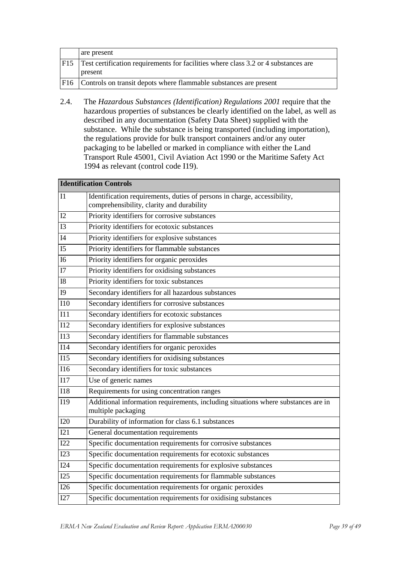|      | are present                                                                               |
|------|-------------------------------------------------------------------------------------------|
| F15  | <b>Test certification requirements for facilities where class 3.2 or 4 substances are</b> |
|      | present                                                                                   |
| IF16 | Controls on transit depots where flammable substances are present                         |

2.4. The *Hazardous Substances (Identification) Regulations 2001* require that the hazardous properties of substances be clearly identified on the label, as well as described in any documentation (Safety Data Sheet) supplied with the substance. While the substance is being transported (including importation), the regulations provide for bulk transport containers and/or any outer packaging to be labelled or marked in compliance with either the Land Transport Rule 45001, Civil Aviation Act 1990 or the Maritime Safety Act 1994 as relevant (control code I19).

|                  | <b>Identification Controls</b>                                                                                        |  |
|------------------|-----------------------------------------------------------------------------------------------------------------------|--|
| I1               | Identification requirements, duties of persons in charge, accessibility,<br>comprehensibility, clarity and durability |  |
| I2               | Priority identifiers for corrosive substances                                                                         |  |
| I3               | Priority identifiers for ecotoxic substances                                                                          |  |
| I4               | Priority identifiers for explosive substances                                                                         |  |
| I <sub>5</sub>   | Priority identifiers for flammable substances                                                                         |  |
| <b>I6</b>        | Priority identifiers for organic peroxides                                                                            |  |
| I7               | Priority identifiers for oxidising substances                                                                         |  |
| ${\rm I}8$       | Priority identifiers for toxic substances                                                                             |  |
| I <sub>9</sub>   | Secondary identifiers for all hazardous substances                                                                    |  |
| <b>I10</b>       | Secondary identifiers for corrosive substances                                                                        |  |
| I11              | Secondary identifiers for ecotoxic substances                                                                         |  |
| I12              | Secondary identifiers for explosive substances                                                                        |  |
| I13              | Secondary identifiers for flammable substances                                                                        |  |
| I14              | Secondary identifiers for organic peroxides                                                                           |  |
| I15              | Secondary identifiers for oxidising substances                                                                        |  |
| <b>I16</b>       | Secondary identifiers for toxic substances                                                                            |  |
| <b>I17</b>       | Use of generic names                                                                                                  |  |
| $\overline{118}$ | Requirements for using concentration ranges                                                                           |  |
| I19              | Additional information requirements, including situations where substances are in<br>multiple packaging               |  |
| I20              | Durability of information for class 6.1 substances                                                                    |  |
| I21              | General documentation requirements                                                                                    |  |
| I22              | Specific documentation requirements for corrosive substances                                                          |  |
| I23              | Specific documentation requirements for ecotoxic substances                                                           |  |
| I24              | Specific documentation requirements for explosive substances                                                          |  |
| I25              | Specific documentation requirements for flammable substances                                                          |  |
| 126              | Specific documentation requirements for organic peroxides                                                             |  |
| I27              | Specific documentation requirements for oxidising substances                                                          |  |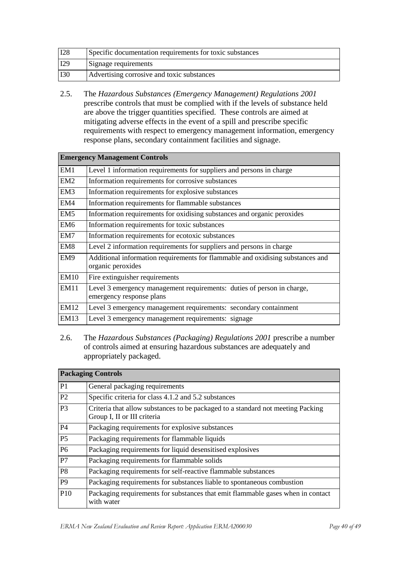| I28        | Specific documentation requirements for toxic substances |  |
|------------|----------------------------------------------------------|--|
| I29        | Signage requirements                                     |  |
| <b>I30</b> | Advertising corrosive and toxic substances               |  |

2.5. The *Hazardous Substances (Emergency Management) Regulations 2001* prescribe controls that must be complied with if the levels of substance held are above the trigger quantities specified. These controls are aimed at mitigating adverse effects in the event of a spill and prescribe specific requirements with respect to emergency management information, emergency response plans, secondary containment facilities and signage.

| <b>Emergency Management Controls</b> |                                                                                                     |  |
|--------------------------------------|-----------------------------------------------------------------------------------------------------|--|
| EM1                                  | Level 1 information requirements for suppliers and persons in charge                                |  |
| EM <sub>2</sub>                      | Information requirements for corrosive substances                                                   |  |
| EM <sub>3</sub>                      | Information requirements for explosive substances                                                   |  |
| EM4                                  | Information requirements for flammable substances                                                   |  |
| EM <sub>5</sub>                      | Information requirements for oxidising substances and organic peroxides                             |  |
| EM <sub>6</sub>                      | Information requirements for toxic substances                                                       |  |
| EM7                                  | Information requirements for ecotoxic substances                                                    |  |
| EM <sub>8</sub>                      | Level 2 information requirements for suppliers and persons in charge                                |  |
| EM9                                  | Additional information requirements for flammable and oxidising substances and<br>organic peroxides |  |
| <b>EM10</b>                          | Fire extinguisher requirements                                                                      |  |
| <b>EM11</b>                          | Level 3 emergency management requirements: duties of person in charge,<br>emergency response plans  |  |
| <b>EM12</b>                          | Level 3 emergency management requirements: secondary containment                                    |  |
| <b>EM13</b>                          | Level 3 emergency management requirements: signage                                                  |  |

2.6. The *Hazardous Substances (Packaging) Regulations 2001* prescribe a number of controls aimed at ensuring hazardous substances are adequately and appropriately packaged.

| <b>Packaging Controls</b> |                                                                                                                |
|---------------------------|----------------------------------------------------------------------------------------------------------------|
| P1                        | General packaging requirements                                                                                 |
| P <sub>2</sub>            | Specific criteria for class 4.1.2 and 5.2 substances                                                           |
| P <sub>3</sub>            | Criteria that allow substances to be packaged to a standard not meeting Packing<br>Group I, II or III criteria |
| <b>P4</b>                 | Packaging requirements for explosive substances                                                                |
| <b>P5</b>                 | Packaging requirements for flammable liquids                                                                   |
| P <sub>6</sub>            | Packaging requirements for liquid desensitised explosives                                                      |
| P7                        | Packaging requirements for flammable solids                                                                    |
| P <sub>8</sub>            | Packaging requirements for self-reactive flammable substances                                                  |
| P <sub>9</sub>            | Packaging requirements for substances liable to spontaneous combustion                                         |
| P10                       | Packaging requirements for substances that emit flammable gases when in contact<br>with water                  |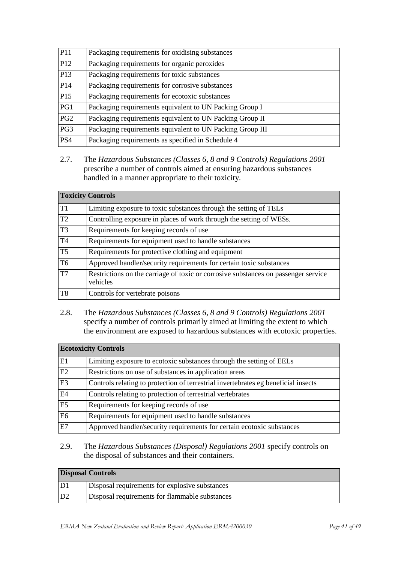| P11             | Packaging requirements for oxidising substances           |
|-----------------|-----------------------------------------------------------|
| P <sub>12</sub> | Packaging requirements for organic peroxides              |
| P13             | Packaging requirements for toxic substances               |
| P14             | Packaging requirements for corrosive substances           |
| P15             | Packaging requirements for ecotoxic substances            |
| PG1             | Packaging requirements equivalent to UN Packing Group I   |
| PG2             | Packaging requirements equivalent to UN Packing Group II  |
| PG3             | Packaging requirements equivalent to UN Packing Group III |
| PS4             | Packaging requirements as specified in Schedule 4         |

2.7. The *Hazardous Substances (Classes 6, 8 and 9 Controls) Regulations 2001* prescribe a number of controls aimed at ensuring hazardous substances handled in a manner appropriate to their toxicity.

| <b>Toxicity Controls</b> |                                                                                                |
|--------------------------|------------------------------------------------------------------------------------------------|
| T1                       | Limiting exposure to toxic substances through the setting of TELs                              |
| T2                       | Controlling exposure in places of work through the setting of WESs.                            |
| T3                       | Requirements for keeping records of use                                                        |
| T <sub>4</sub>           | Requirements for equipment used to handle substances                                           |
| T5                       | Requirements for protective clothing and equipment                                             |
| T <sub>6</sub>           | Approved handler/security requirements for certain toxic substances                            |
| T7                       | Restrictions on the carriage of toxic or corrosive substances on passenger service<br>vehicles |
| T <sub>8</sub>           | Controls for vertebrate poisons                                                                |

2.8. The *Hazardous Substances (Classes 6, 8 and 9 Controls) Regulations 2001* specify a number of controls primarily aimed at limiting the extent to which the environment are exposed to hazardous substances with ecotoxic properties.

| <b>Ecotoxicity Controls</b> |                                                                                    |
|-----------------------------|------------------------------------------------------------------------------------|
| E <sub>1</sub>              | Limiting exposure to ecotoxic substances through the setting of EELs               |
| E2                          | Restrictions on use of substances in application areas                             |
| E <sub>3</sub>              | Controls relating to protection of terrestrial invertebrates eg beneficial insects |
| E4                          | Controls relating to protection of terrestrial vertebrates                         |
| $\overline{E}$ 5            | Requirements for keeping records of use                                            |
| E <sub>6</sub>              | Requirements for equipment used to handle substances                               |
| E7                          | Approved handler/security requirements for certain ecotoxic substances             |

#### 2.9. The *Hazardous Substances (Disposal) Regulations 2001* specify controls on the disposal of substances and their containers.

#### **Disposal Controls**

| D1 | Disposal requirements for explosive substances |  |
|----|------------------------------------------------|--|
| D2 | Disposal requirements for flammable substances |  |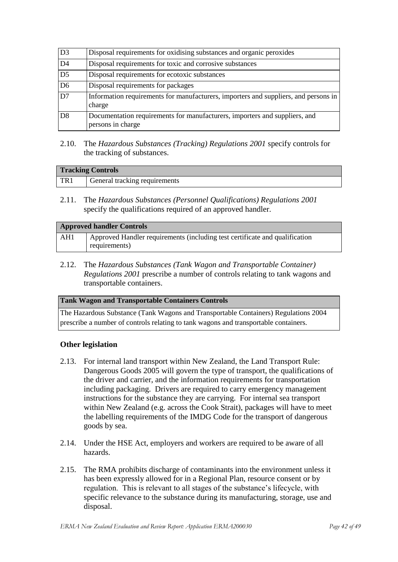| $\overline{D3}$ | Disposal requirements for oxidising substances and organic peroxides                            |  |
|-----------------|-------------------------------------------------------------------------------------------------|--|
| D4              | Disposal requirements for toxic and corrosive substances                                        |  |
| $\overline{D5}$ | Disposal requirements for ecotoxic substances                                                   |  |
| D <sub>6</sub>  | Disposal requirements for packages                                                              |  |
| $\overline{D7}$ | Information requirements for manufacturers, importers and suppliers, and persons in<br>charge   |  |
| D <sub>8</sub>  | Documentation requirements for manufacturers, importers and suppliers, and<br>persons in charge |  |

2.10. The *Hazardous Substances (Tracking) Regulations 2001* specify controls for the tracking of substances.

| <b>Tracking Controls</b> |                               |
|--------------------------|-------------------------------|
| TR <sub>1</sub>          | General tracking requirements |

2.11. The *Hazardous Substances (Personnel Qualifications) Regulations 2001* specify the qualifications required of an approved handler.

| <b>Approved handler Controls</b> |                                                                             |
|----------------------------------|-----------------------------------------------------------------------------|
| AH1                              | Approved Handler requirements (including test certificate and qualification |
|                                  | requirements)                                                               |

2.12. The *Hazardous Substances (Tank Wagon and Transportable Container) Regulations 2001* prescribe a number of controls relating to tank wagons and transportable containers.

#### **Tank Wagon and Transportable Containers Controls**

The Hazardous Substance (Tank Wagons and Transportable Containers) Regulations 2004 prescribe a number of controls relating to tank wagons and transportable containers.

#### **Other legislation**

- 2.13. For internal land transport within New Zealand, the Land Transport Rule: Dangerous Goods 2005 will govern the type of transport, the qualifications of the driver and carrier, and the information requirements for transportation including packaging. Drivers are required to carry emergency management instructions for the substance they are carrying. For internal sea transport within New Zealand (e.g. across the Cook Strait), packages will have to meet the labelling requirements of the IMDG Code for the transport of dangerous goods by sea.
- 2.14. Under the HSE Act, employers and workers are required to be aware of all hazards.
- 2.15. The RMA prohibits discharge of contaminants into the environment unless it has been expressly allowed for in a Regional Plan, resource consent or by regulation. This is relevant to all stages of the substance"s lifecycle, with specific relevance to the substance during its manufacturing, storage, use and disposal.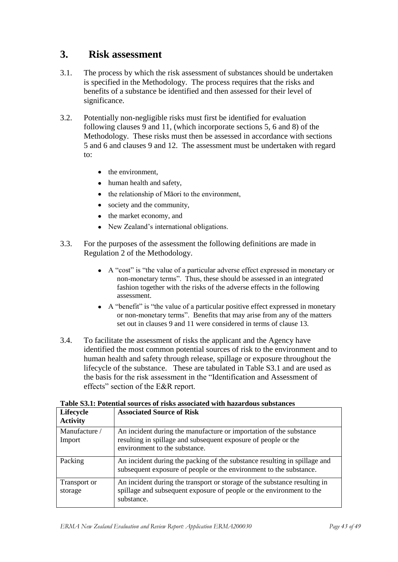# <span id="page-42-0"></span>**3. Risk assessment**

- 3.1. The process by which the risk assessment of substances should be undertaken is specified in the Methodology. The process requires that the risks and benefits of a substance be identified and then assessed for their level of significance.
- 3.2. Potentially non-negligible risks must first be identified for evaluation following clauses 9 and 11, (which incorporate sections 5, 6 and 8) of the Methodology. These risks must then be assessed in accordance with sections 5 and 6 and clauses 9 and 12. The assessment must be undertaken with regard to:
	- $\bullet$  the environment.
	- human health and safety,
	- $\bullet$  the relationship of Māori to the environment.
	- society and the community,
	- the market economy, and
	- New Zealand"s international obligations.  $\bullet$
- 3.3. For the purposes of the assessment the following definitions are made in Regulation 2 of the Methodology.
	- A "cost" is "the value of a particular adverse effect expressed in monetary or non-monetary terms". Thus, these should be assessed in an integrated fashion together with the risks of the adverse effects in the following assessment.
	- A "benefit" is "the value of a particular positive effect expressed in monetary or non-monetary terms". Benefits that may arise from any of the matters set out in clauses 9 and 11 were considered in terms of clause 13.
- 3.4. To facilitate the assessment of risks the applicant and the Agency have identified the most common potential sources of risk to the environment and to human health and safety through release, spillage or exposure throughout the lifecycle of the substance. These are tabulated in Table S3.1 and are used as the basis for the risk assessment in the "Identification and Assessment of effects" section of the E&R report.

| Lifecycle<br><b>Activity</b> | <b>Associated Source of Risk</b>                                                                                                                                      |
|------------------------------|-----------------------------------------------------------------------------------------------------------------------------------------------------------------------|
| Manufacture /<br>Import      | An incident during the manufacture or importation of the substance<br>resulting in spillage and subsequent exposure of people or the<br>environment to the substance. |
| Packing                      | An incident during the packing of the substance resulting in spillage and<br>subsequent exposure of people or the environment to the substance.                       |
| Transport or<br>storage      | An incident during the transport or storage of the substance resulting in<br>spillage and subsequent exposure of people or the environment to the<br>substance.       |

|  |  |  |  | Table S3.1: Potential sources of risks associated with hazardous substances |
|--|--|--|--|-----------------------------------------------------------------------------|
|  |  |  |  |                                                                             |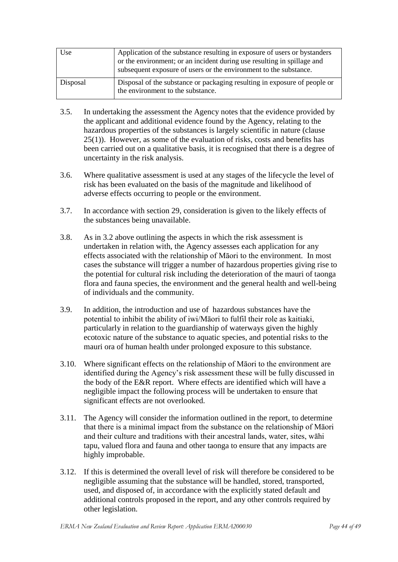| Use      | Application of the substance resulting in exposure of users or bystanders<br>or the environment; or an incident during use resulting in spillage and<br>subsequent exposure of users or the environment to the substance. |
|----------|---------------------------------------------------------------------------------------------------------------------------------------------------------------------------------------------------------------------------|
| Disposal | Disposal of the substance or packaging resulting in exposure of people or<br>the environment to the substance.                                                                                                            |

- 3.5. In undertaking the assessment the Agency notes that the evidence provided by the applicant and additional evidence found by the Agency, relating to the hazardous properties of the substances is largely scientific in nature (clause 25(1)). However, as some of the evaluation of risks, costs and benefits has been carried out on a qualitative basis, it is recognised that there is a degree of uncertainty in the risk analysis.
- 3.6. Where qualitative assessment is used at any stages of the lifecycle the level of risk has been evaluated on the basis of the magnitude and likelihood of adverse effects occurring to people or the environment.
- 3.7. In accordance with section 29, consideration is given to the likely effects of the substances being unavailable.
- 3.8. As in 3.2 above outlining the aspects in which the risk assessment is undertaken in relation with, the Agency assesses each application for any effects associated with the relationship of Māori to the environment. In most cases the substance will trigger a number of hazardous properties giving rise to the potential for cultural risk including the deterioration of the mauri of taonga flora and fauna species, the environment and the general health and well-being of individuals and the community.
- 3.9. In addition, the introduction and use of hazardous substances have the potential to inhibit the ability of iwi/Māori to fulfil their role as kaitiaki, particularly in relation to the guardianship of waterways given the highly ecotoxic nature of the substance to aquatic species, and potential risks to the mauri ora of human health under prolonged exposure to this substance.
- 3.10. Where significant effects on the relationship of Māori to the environment are identified during the Agency"s risk assessment these will be fully discussed in the body of the E&R report. Where effects are identified which will have a negligible impact the following process will be undertaken to ensure that significant effects are not overlooked.
- 3.11. The Agency will consider the information outlined in the report, to determine that there is a minimal impact from the substance on the relationship of Māori and their culture and traditions with their ancestral lands, water, sites, wāhi tapu, valued flora and fauna and other taonga to ensure that any impacts are highly improbable.
- 3.12. If this is determined the overall level of risk will therefore be considered to be negligible assuming that the substance will be handled, stored, transported, used, and disposed of, in accordance with the explicitly stated default and additional controls proposed in the report, and any other controls required by other legislation.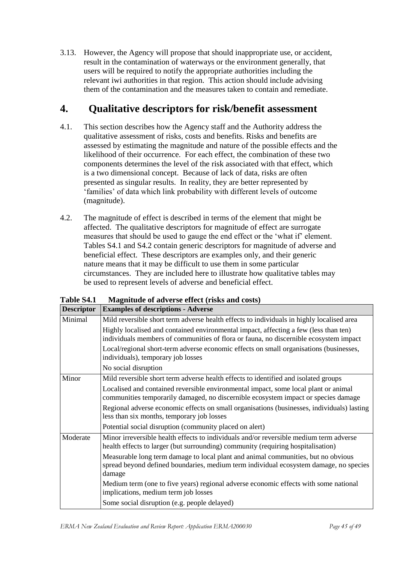3.13. However, the Agency will propose that should inappropriate use, or accident, result in the contamination of waterways or the environment generally, that users will be required to notify the appropriate authorities including the relevant iwi authorities in that region. This action should include advising them of the contamination and the measures taken to contain and remediate.

# <span id="page-44-0"></span>**4. Qualitative descriptors for risk/benefit assessment**

- 4.1. This section describes how the Agency staff and the Authority address the qualitative assessment of risks, costs and benefits. Risks and benefits are assessed by estimating the magnitude and nature of the possible effects and the likelihood of their occurrence. For each effect, the combination of these two components determines the level of the risk associated with that effect, which is a two dimensional concept. Because of lack of data, risks are often presented as singular results. In reality, they are better represented by "families" of data which link probability with different levels of outcome (magnitude).
- 4.2. The magnitude of effect is described in terms of the element that might be affected. The qualitative descriptors for magnitude of effect are surrogate measures that should be used to gauge the end effect or the 'what if' element. Tables S4.1 and S4.2 contain generic descriptors for magnitude of adverse and beneficial effect. These descriptors are examples only, and their generic nature means that it may be difficult to use them in some particular circumstances. They are included here to illustrate how qualitative tables may be used to represent levels of adverse and beneficial effect.

| <b>Descriptor</b> | <b>Examples of descriptions - Adverse</b>                                                                                                                                            |  |  |  |
|-------------------|--------------------------------------------------------------------------------------------------------------------------------------------------------------------------------------|--|--|--|
| Minimal           | Mild reversible short term adverse health effects to individuals in highly localised area                                                                                            |  |  |  |
|                   | Highly localised and contained environmental impact, affecting a few (less than ten)<br>individuals members of communities of flora or fauna, no discernible ecosystem impact        |  |  |  |
|                   | Local/regional short-term adverse economic effects on small organisations (businesses,<br>individuals), temporary job losses                                                         |  |  |  |
|                   | No social disruption                                                                                                                                                                 |  |  |  |
| Minor             | Mild reversible short term adverse health effects to identified and isolated groups                                                                                                  |  |  |  |
|                   | Localised and contained reversible environmental impact, some local plant or animal<br>communities temporarily damaged, no discernible ecosystem impact or species damage            |  |  |  |
|                   | Regional adverse economic effects on small organisations (businesses, individuals) lasting<br>less than six months, temporary job losses                                             |  |  |  |
|                   | Potential social disruption (community placed on alert)                                                                                                                              |  |  |  |
| Moderate          | Minor irreversible health effects to individuals and/or reversible medium term adverse<br>health effects to larger (but surrounding) community (requiring hospitalisation)           |  |  |  |
|                   | Measurable long term damage to local plant and animal communities, but no obvious<br>spread beyond defined boundaries, medium term individual ecosystem damage, no species<br>damage |  |  |  |
|                   | Medium term (one to five years) regional adverse economic effects with some national<br>implications, medium term job losses                                                         |  |  |  |
|                   | Some social disruption (e.g. people delayed)                                                                                                                                         |  |  |  |

**Table S4.1 Magnitude of adverse effect (risks and costs)**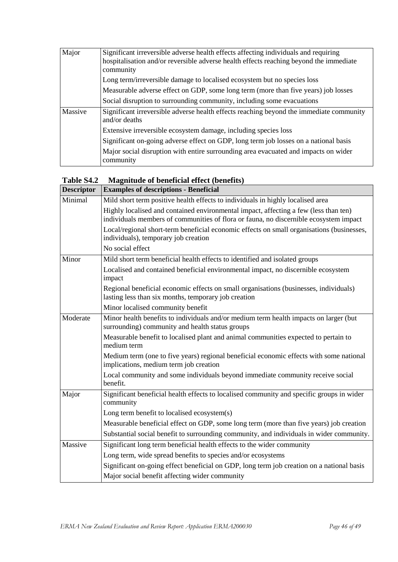| Major   | Significant irreversible adverse health effects affecting individuals and requiring<br>hospitalisation and/or reversible adverse health effects reaching beyond the immediate<br>community |
|---------|--------------------------------------------------------------------------------------------------------------------------------------------------------------------------------------------|
|         | Long term/irreversible damage to localised ecosystem but no species loss                                                                                                                   |
|         | Measurable adverse effect on GDP, some long term (more than five years) job losses                                                                                                         |
|         | Social disruption to surrounding community, including some evacuations                                                                                                                     |
| Massive | Significant irreversible adverse health effects reaching beyond the immediate community<br>and/or deaths                                                                                   |
|         | Extensive irreversible ecosystem damage, including species loss                                                                                                                            |
|         | Significant on-going adverse effect on GDP, long term job losses on a national basis                                                                                                       |
|         | Major social disruption with entire surrounding area evacuated and impacts on wider<br>community                                                                                           |

#### **Table S4.2 Magnitude of beneficial effect (benefits)**

| <b>Descriptor</b> | <b>Examples of descriptions - Beneficial</b>                                                                                                                                  |  |  |  |
|-------------------|-------------------------------------------------------------------------------------------------------------------------------------------------------------------------------|--|--|--|
| Minimal           | Mild short term positive health effects to individuals in highly localised area                                                                                               |  |  |  |
|                   | Highly localised and contained environmental impact, affecting a few (less than ten)<br>individuals members of communities of flora or fauna, no discernible ecosystem impact |  |  |  |
|                   | Local/regional short-term beneficial economic effects on small organisations (businesses,<br>individuals), temporary job creation                                             |  |  |  |
|                   | No social effect                                                                                                                                                              |  |  |  |
| Minor             | Mild short term beneficial health effects to identified and isolated groups                                                                                                   |  |  |  |
|                   | Localised and contained beneficial environmental impact, no discernible ecosystem<br>impact                                                                                   |  |  |  |
|                   | Regional beneficial economic effects on small organisations (businesses, individuals)<br>lasting less than six months, temporary job creation                                 |  |  |  |
|                   | Minor localised community benefit                                                                                                                                             |  |  |  |
| Moderate          | Minor health benefits to individuals and/or medium term health impacts on larger (but<br>surrounding) community and health status groups                                      |  |  |  |
|                   | Measurable benefit to localised plant and animal communities expected to pertain to<br>medium term                                                                            |  |  |  |
|                   | Medium term (one to five years) regional beneficial economic effects with some national<br>implications, medium term job creation                                             |  |  |  |
|                   | Local community and some individuals beyond immediate community receive social<br>benefit.                                                                                    |  |  |  |
| Major             | Significant beneficial health effects to localised community and specific groups in wider<br>community                                                                        |  |  |  |
|                   | Long term benefit to localised ecosystem(s)                                                                                                                                   |  |  |  |
|                   | Measurable beneficial effect on GDP, some long term (more than five years) job creation                                                                                       |  |  |  |
|                   | Substantial social benefit to surrounding community, and individuals in wider community.                                                                                      |  |  |  |
| Massive           | Significant long term beneficial health effects to the wider community                                                                                                        |  |  |  |
|                   | Long term, wide spread benefits to species and/or ecosystems                                                                                                                  |  |  |  |
|                   | Significant on-going effect beneficial on GDP, long term job creation on a national basis                                                                                     |  |  |  |
|                   | Major social benefit affecting wider community                                                                                                                                |  |  |  |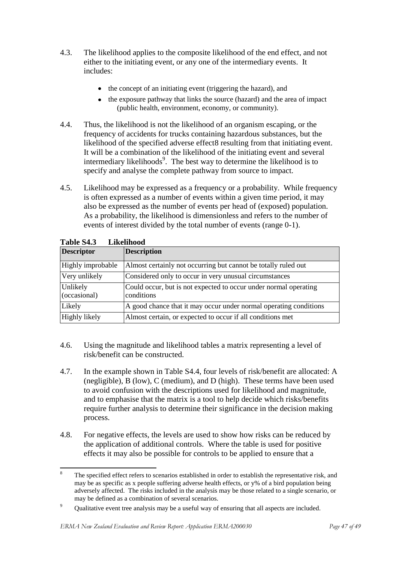- 4.3. The likelihood applies to the composite likelihood of the end effect, and not either to the initiating event, or any one of the intermediary events. It includes:
	- the concept of an initiating event (triggering the hazard), and
	- the exposure pathway that links the source (hazard) and the area of impact  $\bullet$ (public health, environment, economy, or community).
- 4.4. Thus, the likelihood is not the likelihood of an organism escaping, or the frequency of accidents for trucks containing hazardous substances, but the likelihood of the specified adverse effect8 resulting from that initiating event. It will be a combination of the likelihood of the initiating event and several intermediary likelihoods<sup>9</sup>. The best way to determine the likelihood is to specify and analyse the complete pathway from source to impact.
- 4.5. Likelihood may be expressed as a frequency or a probability. While frequency is often expressed as a number of events within a given time period, it may also be expressed as the number of events per head of (exposed) population. As a probability, the likelihood is dimensionless and refers to the number of events of interest divided by the total number of events (range 0-1).

| TANIL DAN<br>Linthinvu   |                                                                                |  |  |  |
|--------------------------|--------------------------------------------------------------------------------|--|--|--|
| <b>Descriptor</b>        | <b>Description</b>                                                             |  |  |  |
| Highly improbable        | Almost certainly not occurring but cannot be totally ruled out                 |  |  |  |
| Very unlikely            | Considered only to occur in very unusual circumstances                         |  |  |  |
| Unlikely<br>(occasional) | Could occur, but is not expected to occur under normal operating<br>conditions |  |  |  |
| Likely                   | A good chance that it may occur under normal operating conditions              |  |  |  |
| Highly likely            | Almost certain, or expected to occur if all conditions met                     |  |  |  |

**Table S4.3 Likelihood**

- 4.6. Using the magnitude and likelihood tables a matrix representing a level of risk/benefit can be constructed.
- 4.7. In the example shown in Table S4.4, four levels of risk/benefit are allocated: A (negligible), B (low), C (medium), and D (high). These terms have been used to avoid confusion with the descriptions used for likelihood and magnitude, and to emphasise that the matrix is a tool to help decide which risks/benefits require further analysis to determine their significance in the decision making process.
- 4.8. For negative effects, the levels are used to show how risks can be reduced by the application of additional controls. Where the table is used for positive effects it may also be possible for controls to be applied to ensure that a

 $\overline{\mathbf{R}}$ The specified effect refers to scenarios established in order to establish the representative risk, and may be as specific as x people suffering adverse health effects, or y% of a bird population being adversely affected. The risks included in the analysis may be those related to a single scenario, or may be defined as a combination of several scenarios.

<sup>&</sup>lt;sup>9</sup> Qualitative event tree analysis may be a useful way of ensuring that all aspects are included.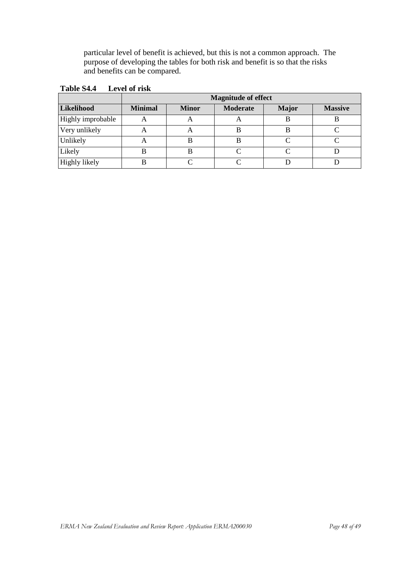particular level of benefit is achieved, but this is not a common approach. The purpose of developing the tables for both risk and benefit is so that the risks and benefits can be compared.

|                      | <b>Magnitude of effect</b> |              |                 |              |                |  |  |
|----------------------|----------------------------|--------------|-----------------|--------------|----------------|--|--|
| Likelihood           | <b>Minimal</b>             | <b>Minor</b> | <b>Moderate</b> | <b>Major</b> | <b>Massive</b> |  |  |
| Highly improbable    |                            |              |                 | В            |                |  |  |
| Very unlikely        |                            | A            | Н               |              |                |  |  |
| Unlikely             |                            | B            | В               |              |                |  |  |
| Likely               |                            | B            |                 |              |                |  |  |
| <b>Highly likely</b> |                            |              |                 |              |                |  |  |

**Table S4.4 Level of risk**